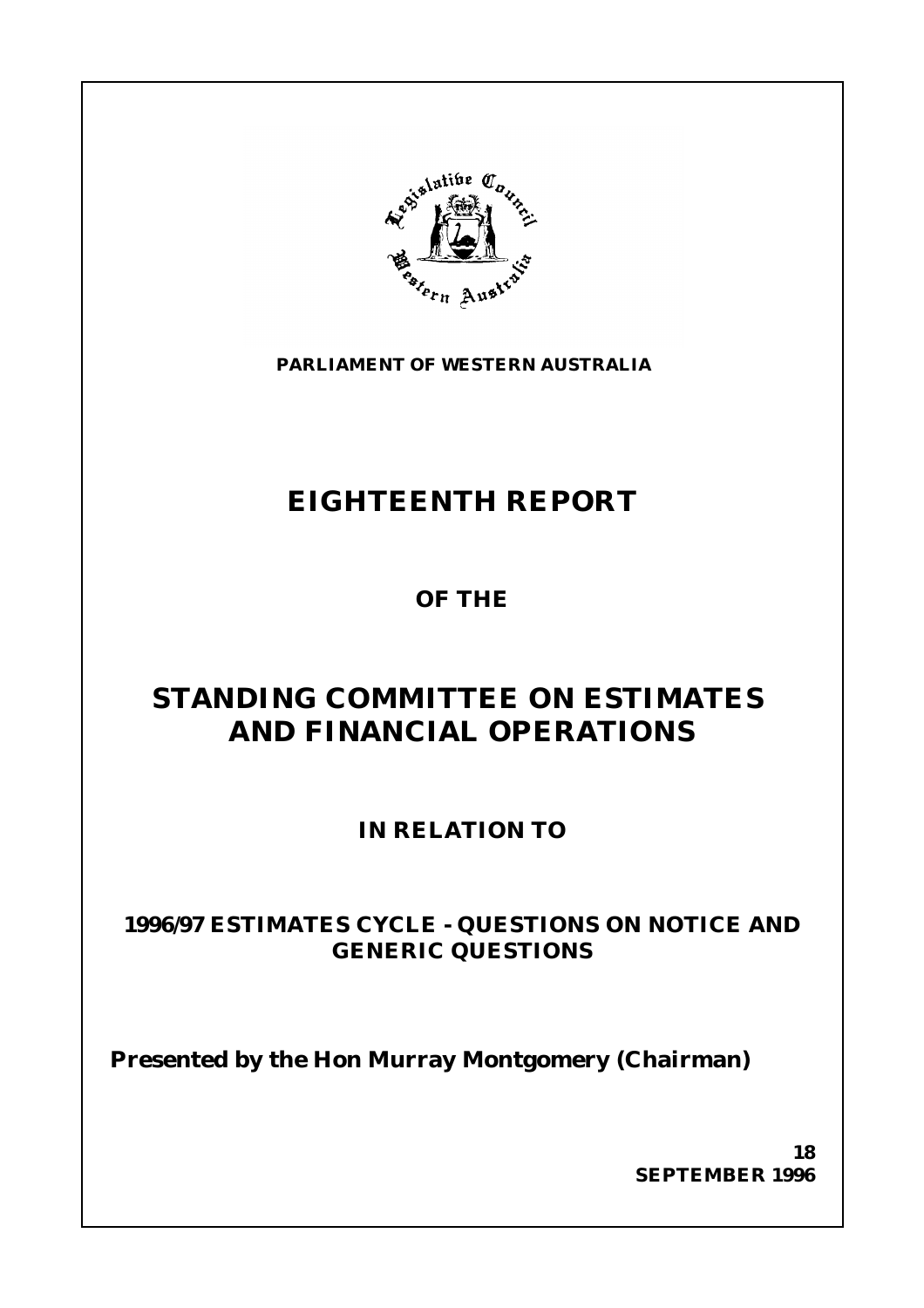

**PARLIAMENT OF WESTERN AUSTRALIA**

# **EIGHTEENTH REPORT**

**OF THE**

# **STANDING COMMITTEE ON ESTIMATES AND FINANCIAL OPERATIONS**

**IN RELATION TO**

## **1996/97 ESTIMATES CYCLE - QUESTIONS ON NOTICE AND GENERIC QUESTIONS**

**Presented by the Hon Murray Montgomery (Chairman)**

**18 SEPTEMBER 1996**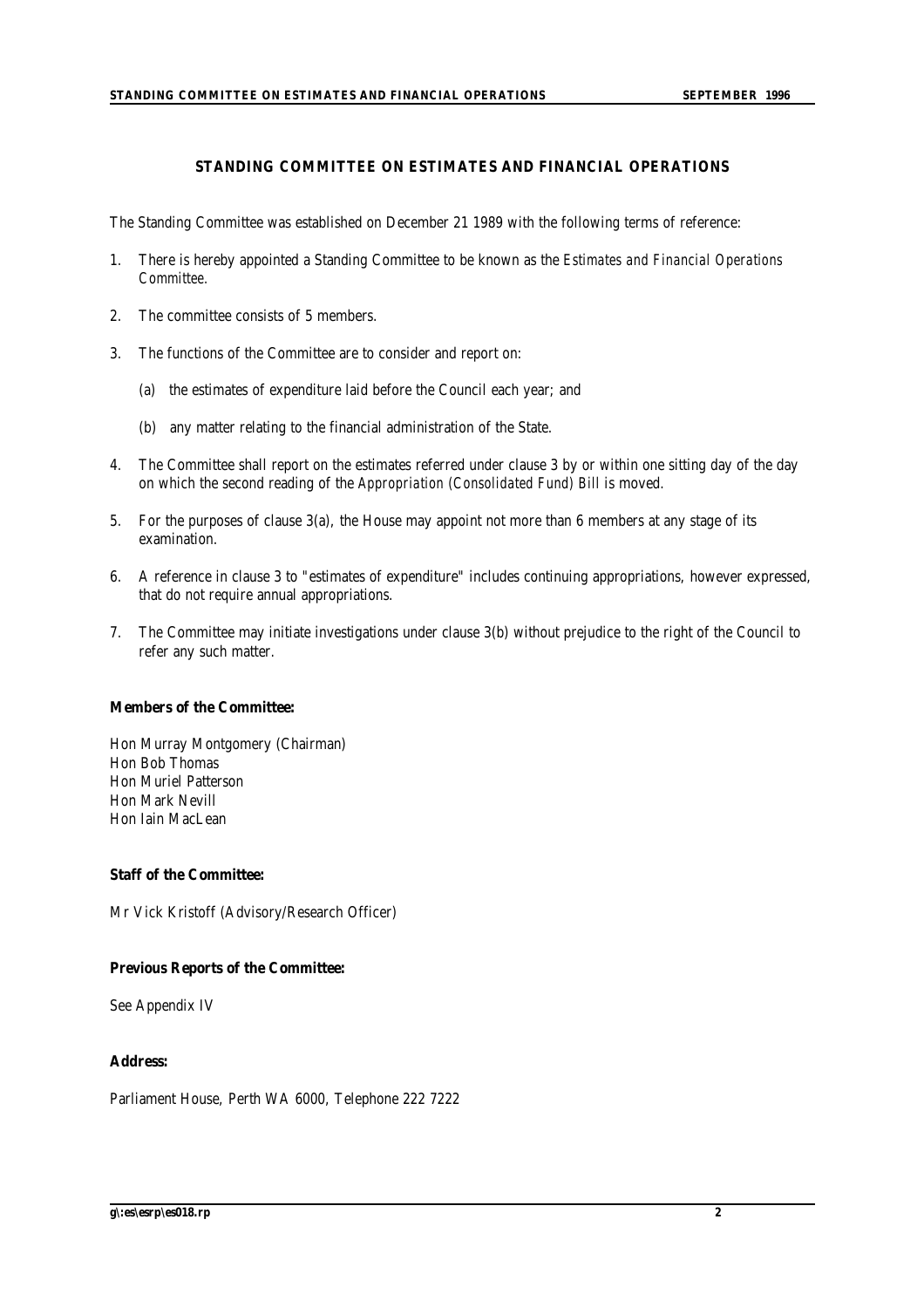#### **STANDING COMMITTEE ON ESTIMATES AND FINANCIAL OPERATIONS**

The Standing Committee was established on December 21 1989 with the following terms of reference:

- 1. There is hereby appointed a Standing Committee to be known as the *Estimates and Financial Operations Committee.*
- 2. The committee consists of 5 members.
- 3. The functions of the Committee are to consider and report on:
	- (a) the estimates of expenditure laid before the Council each year; and
	- (b) any matter relating to the financial administration of the State.
- 4. The Committee shall report on the estimates referred under clause 3 by or within one sitting day of the day on which the second reading of the *Appropriation (Consolidated Fund) Bill* is moved.
- 5. For the purposes of clause 3(a), the House may appoint not more than 6 members at any stage of its examination.
- 6. A reference in clause 3 to "estimates of expenditure" includes continuing appropriations, however expressed, that do not require annual appropriations.
- 7. The Committee may initiate investigations under clause 3(b) without prejudice to the right of the Council to refer any such matter.

#### **Members of the Committee:**

Hon Murray Montgomery (Chairman) Hon Bob Thomas Hon Muriel Patterson Hon Mark Nevill Hon Iain MacLean

#### **Staff of the Committee:**

Mr Vick Kristoff (Advisory/Research Officer)

#### **Previous Reports of the Committee:**

See Appendix IV

#### **Address:**

Parliament House, Perth WA 6000, Telephone 222 7222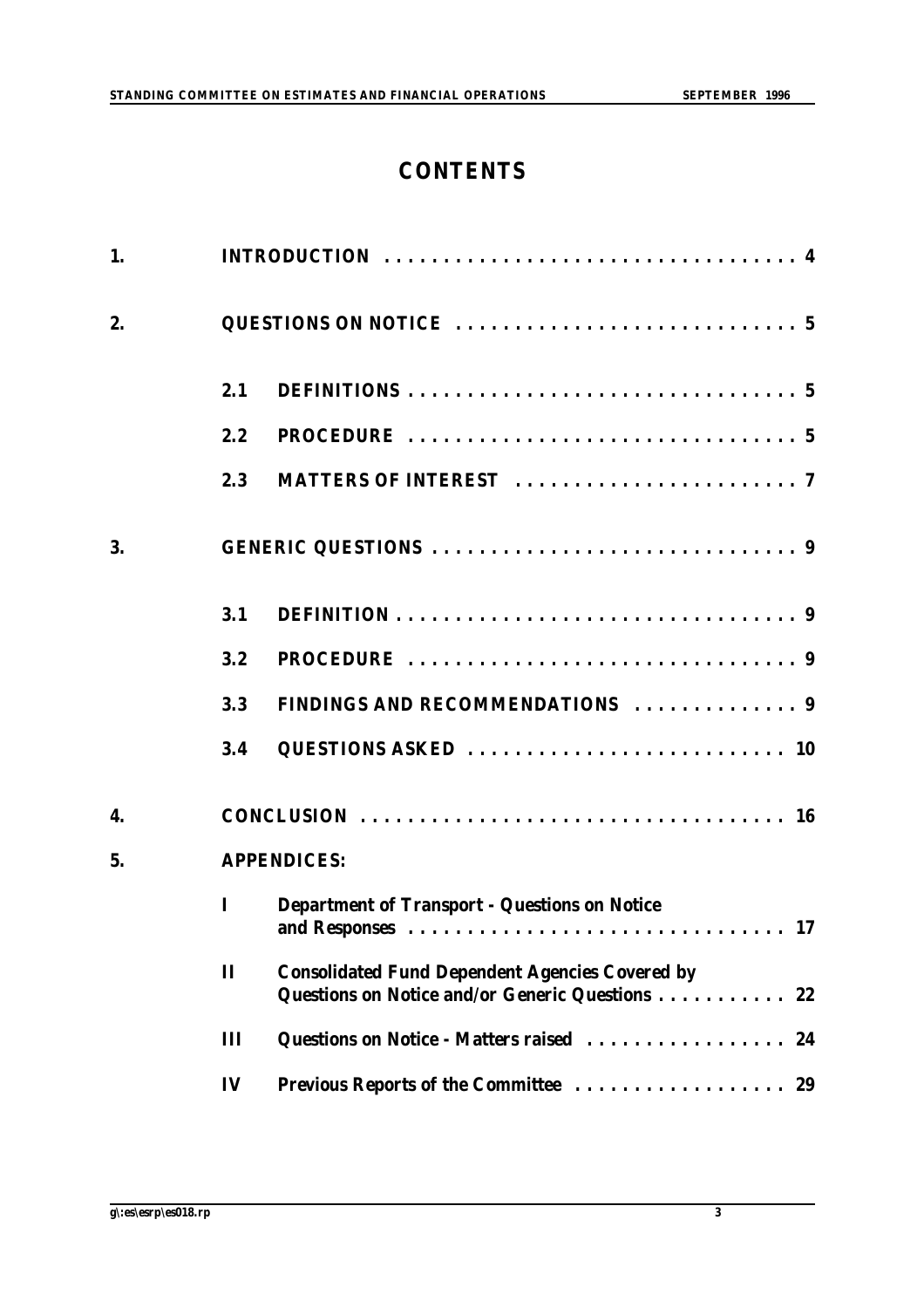## **CONTENTS**

| 1. |              |                                                                                                              |
|----|--------------|--------------------------------------------------------------------------------------------------------------|
| 2. |              |                                                                                                              |
|    | 2.1          |                                                                                                              |
|    | 2.2          |                                                                                                              |
|    | 2.3          |                                                                                                              |
| 3. |              |                                                                                                              |
|    | 3.1          |                                                                                                              |
|    | 3.2          |                                                                                                              |
|    | 3.3          | FINDINGS AND RECOMMENDATIONS  9                                                                              |
|    | 3.4          |                                                                                                              |
| 4. |              | CONCLUSION $\ldots \ldots \ldots \ldots \ldots \ldots \ldots \ldots \ldots \ldots \ldots \ldots$             |
| 5. |              | <b>APPENDICES:</b>                                                                                           |
|    | I            | <b>Department of Transport - Questions on Notice</b>                                                         |
|    | $\mathbf{I}$ | <b>Consolidated Fund Dependent Agencies Covered by</b><br>Questions on Notice and/or Generic Questions<br>22 |
|    | Ш            | Questions on Notice - Matters raised<br>24                                                                   |
|    | IV           | Previous Reports of the Committee<br>29                                                                      |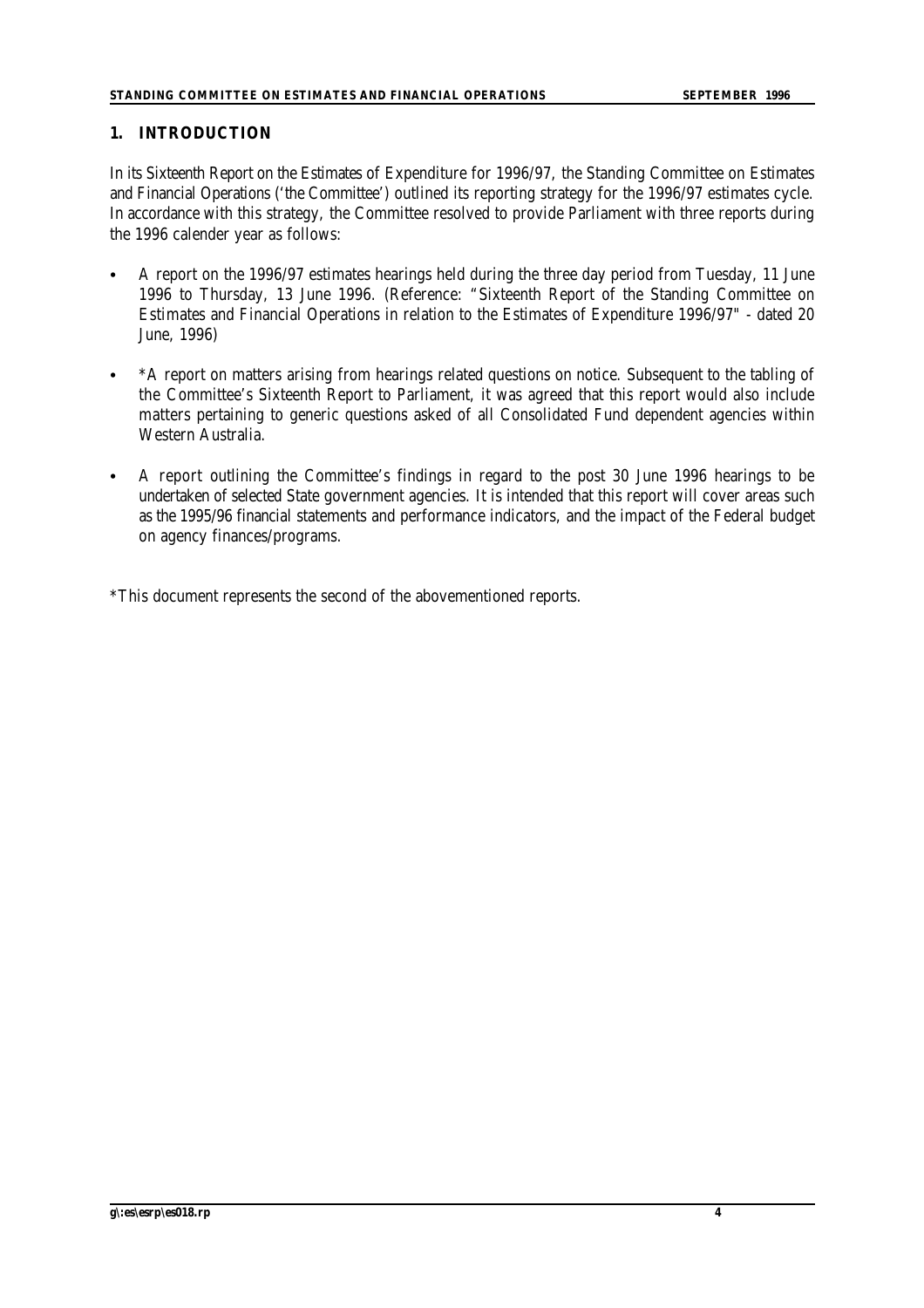#### **1. INTRODUCTION**

In its Sixteenth Report on the Estimates of Expenditure for 1996/97, the Standing Committee on Estimates and Financial Operations ('the Committee') outlined its reporting strategy for the 1996/97 estimates cycle. In accordance with this strategy, the Committee resolved to provide Parliament with three reports during the 1996 calender year as follows:

- C A report on the 1996/97 estimates hearings held during the three day period from Tuesday, 11 June 1996 to Thursday, 13 June 1996. (Reference: "Sixteenth Report of the Standing Committee on Estimates and Financial Operations in relation to the Estimates of Expenditure 1996/97" - dated 20 June, 1996)
- \*A report on matters arising from hearings related questions on notice. Subsequent to the tabling of the Committee's Sixteenth Report to Parliament, it was agreed that this report would also include matters pertaining to generic questions asked of all Consolidated Fund dependent agencies within Western Australia.
- A report outlining the Committee's findings in regard to the post 30 June 1996 hearings to be undertaken of selected State government agencies. It is intended that this report will cover areas such as the 1995/96 financial statements and performance indicators, and the impact of the Federal budget on agency finances/programs.

\*This document represents the second of the abovementioned reports.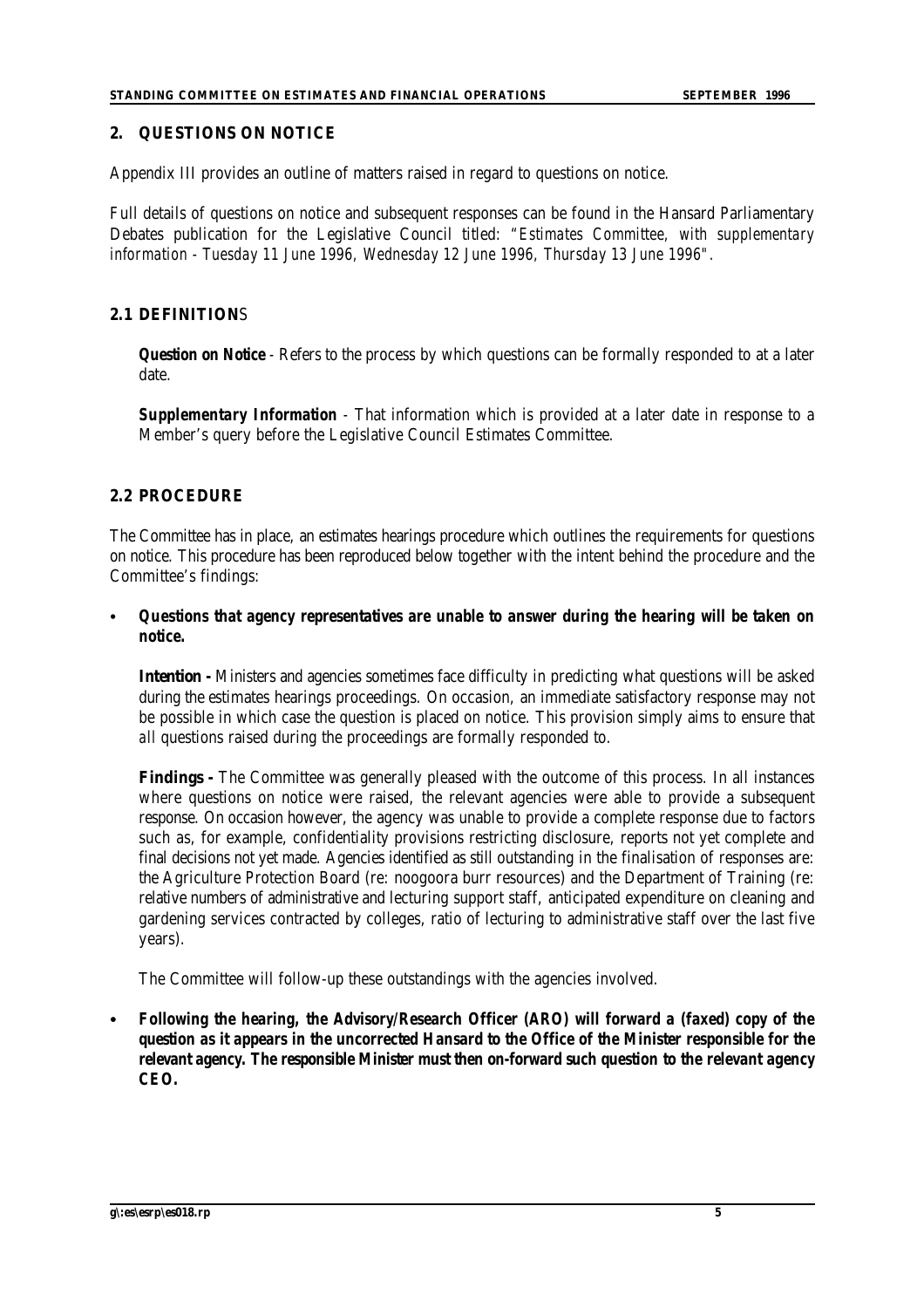#### **2. QUESTIONS ON NOTICE**

Appendix III provides an outline of matters raised in regard to questions on notice.

Full details of questions on notice and subsequent responses can be found in the Hansard Parliamentary Debates publication for the Legislative Council titled: *"Estimates Committee, with supplementary information - Tuesday 11 June 1996, Wednesday 12 June 1996, Thursday 13 June 1996".* 

#### **2.1 DEFINITION**S

**Question on Notice** - Refers to the process by which questions can be formally responded to at a later date.

*Supplementary Information -* That information which is provided at a later date in response to a Member's query before the Legislative Council Estimates Committee.

#### **2.2 PROCEDURE**

The Committee has in place, an estimates hearings procedure which outlines the requirements for questions on notice. This procedure has been reproduced below together with the intent behind the procedure and the Committee's findings:

#### *C Questions that agency representatives are unable to answer during the hearing will be taken on notice.*

**Intention -** Ministers and agencies sometimes face difficulty in predicting what questions will be asked during the estimates hearings proceedings. On occasion, an immediate satisfactory response may not be possible in which case the question is placed on notice. This provision simply aims to ensure that *all* questions raised during the proceedings are formally responded to.

**Findings -** The Committee was generally pleased with the outcome of this process. In all instances where questions on notice were raised, the relevant agencies were able to provide a subsequent response. On occasion however, the agency was unable to provide a complete response due to factors such as, for example, confidentiality provisions restricting disclosure, reports not yet complete and final decisions not yet made. Agencies identified as still outstanding in the finalisation of responses are: the Agriculture Protection Board (re: noogoora burr resources) and the Department of Training (re: relative numbers of administrative and lecturing support staff, anticipated expenditure on cleaning and gardening services contracted by colleges, ratio of lecturing to administrative staff over the last five years).

The Committee will follow-up these outstandings with the agencies involved.

*C Following the hearing, the Advisory/Research Officer (ARO) will forward a (faxed) copy of the question as it appears in the uncorrected Hansard to the Office of the Minister responsible for the relevant agency. The responsible Minister must then on-forward such question to the relevant agency CEO.*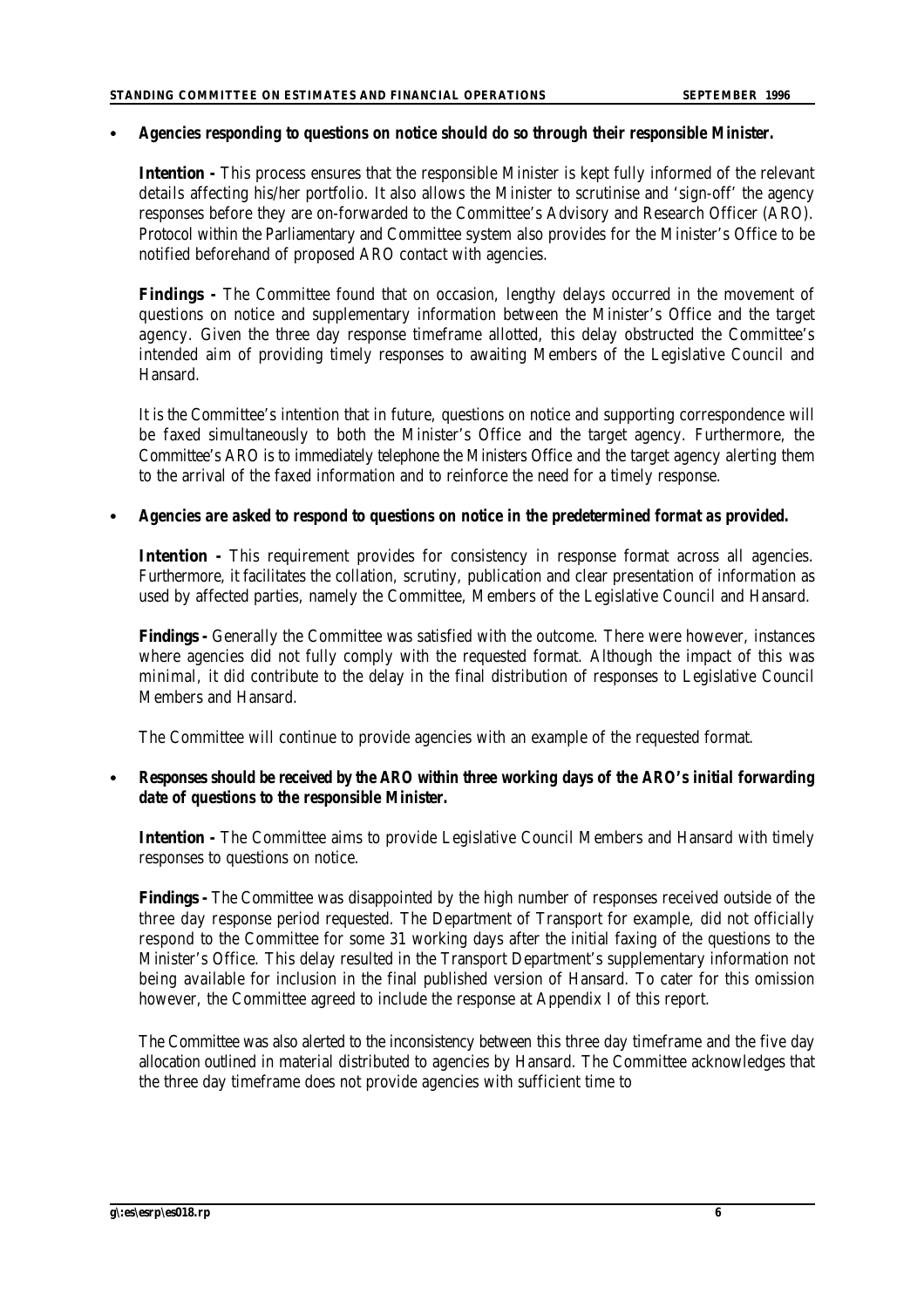#### *C Agencies responding to questions on notice should do so through their responsible Minister.*

**Intention -** This process ensures that the responsible Minister is kept fully informed of the relevant details affecting his/her portfolio. It also allows the Minister to scrutinise and 'sign-off' the agency responses before they are on-forwarded to the Committee's Advisory and Research Officer (ARO). Protocol within the Parliamentary and Committee system also provides for the Minister's Office to be notified beforehand of proposed ARO contact with agencies.

**Findings -** The Committee found that on occasion, lengthy delays occurred in the movement of questions on notice and supplementary information between the Minister's Office and the target agency. Given the three day response timeframe allotted, this delay obstructed the Committee's intended aim of providing timely responses to awaiting Members of the Legislative Council and Hansard.

It is the Committee's intention that in future, questions on notice and supporting correspondence will be faxed simultaneously to both the Minister's Office and the target agency. Furthermore, the Committee's ARO is to immediately telephone the Ministers Office and the target agency alerting them to the arrival of the faxed information and to reinforce the need for a timely response.

#### *C Agencies are asked to respond to questions on notice in the predetermined format as provided.*

**Intention** - This requirement provides for consistency in response format across all agencies. Furthermore, it facilitates the collation, scrutiny, publication and clear presentation of information as used by affected parties, namely the Committee, Members of the Legislative Council and Hansard.

**Findings -** Generally the Committee was satisfied with the outcome. There were however, instances where agencies did not fully comply with the requested format. Although the impact of this was minimal, it did contribute to the delay in the final distribution of responses to Legislative Council Members and Hansard.

The Committee will continue to provide agencies with an example of the requested format.

## *Responses should be received by the ARO within three working days of the ARO's initial forwarding date of questions to the responsible Minister.*

**Intention -** The Committee aims to provide Legislative Council Members and Hansard with timely responses to questions on notice.

**Findings -** The Committee was disappointed by the high number of responses received outside of the three day response period requested. The Department of Transport for example, did not officially respond to the Committee for some 31 working days after the initial faxing of the questions to the Minister's Office. This delay resulted in the Transport Department's supplementary information not being available for inclusion in the final published version of Hansard. To cater for this omission however, the Committee agreed to include the response at Appendix I of this report.

The Committee was also alerted to the inconsistency between this three day timeframe and the five day allocation outlined in material distributed to agencies by Hansard. The Committee acknowledges that the three day timeframe does not provide agencies with sufficient time to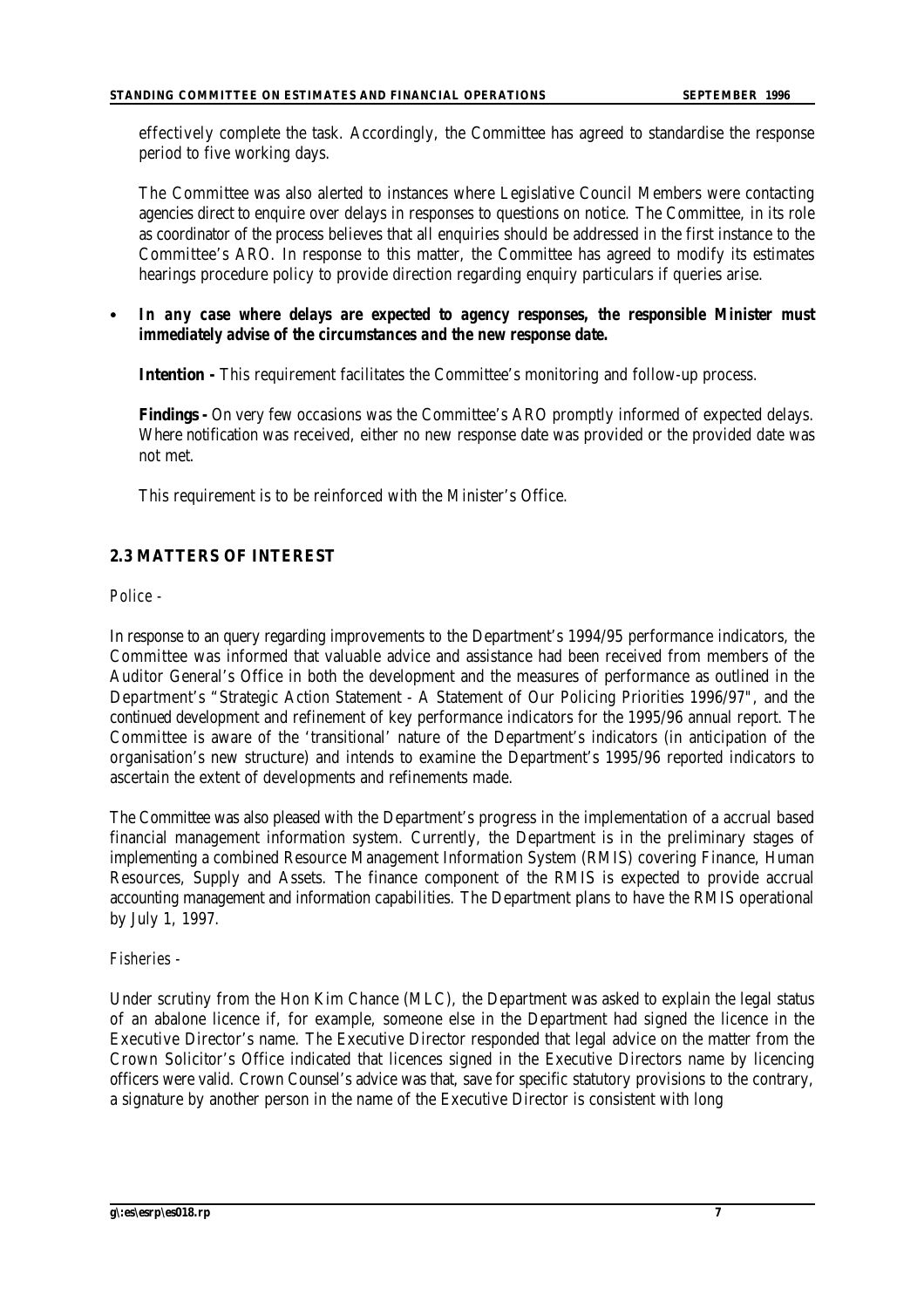effectively complete the task. Accordingly, the Committee has agreed to standardise the response period to five working days.

The Committee was also alerted to instances where Legislative Council Members were contacting agencies direct to enquire over delays in responses to questions on notice. The Committee, in its role as coordinator of the process believes that all enquiries should be addressed in the first instance to the Committee's ARO. In response to this matter, the Committee has agreed to modify its estimates hearings procedure policy to provide direction regarding enquiry particulars if queries arise.

In any case where delays are expected to agency responses, the responsible Minister must *immediately advise of the circumstances and the new response date.*

**Intention -** This requirement facilitates the Committee's monitoring and follow-up process.

**Findings -** On very few occasions was the Committee's ARO promptly informed of expected delays. Where notification was received, either no new response date was provided or the provided date was not met.

This requirement is to be reinforced with the Minister's Office.

## **2.3 MATTERS OF INTEREST**

*Police -*

In response to an query regarding improvements to the Department's 1994/95 performance indicators, the Committee was informed that valuable advice and assistance had been received from members of the Auditor General's Office in both the development and the measures of performance as outlined in the Department's "Strategic Action Statement - A Statement of Our Policing Priorities 1996/97", and the continued development and refinement of key performance indicators for the 1995/96 annual report. The Committee is aware of the 'transitional' nature of the Department's indicators (in anticipation of the organisation's new structure) and intends to examine the Department's 1995/96 reported indicators to ascertain the extent of developments and refinements made.

The Committee was also pleased with the Department's progress in the implementation of a accrual based financial management information system. Currently, the Department is in the preliminary stages of implementing a combined Resource Management Information System (RMIS) covering Finance, Human Resources, Supply and Assets. The finance component of the RMIS is expected to provide accrual accounting management and information capabilities. The Department plans to have the RMIS operational by July 1, 1997.

#### *Fisheries -*

Under scrutiny from the Hon Kim Chance (MLC), the Department was asked to explain the legal status of an abalone licence if, for example, someone else in the Department had signed the licence in the Executive Director's name. The Executive Director responded that legal advice on the matter from the Crown Solicitor's Office indicated that licences signed in the Executive Directors name by licencing officers were valid. Crown Counsel's advice was that, save for specific statutory provisions to the contrary, a signature by another person in the name of the Executive Director is consistent with long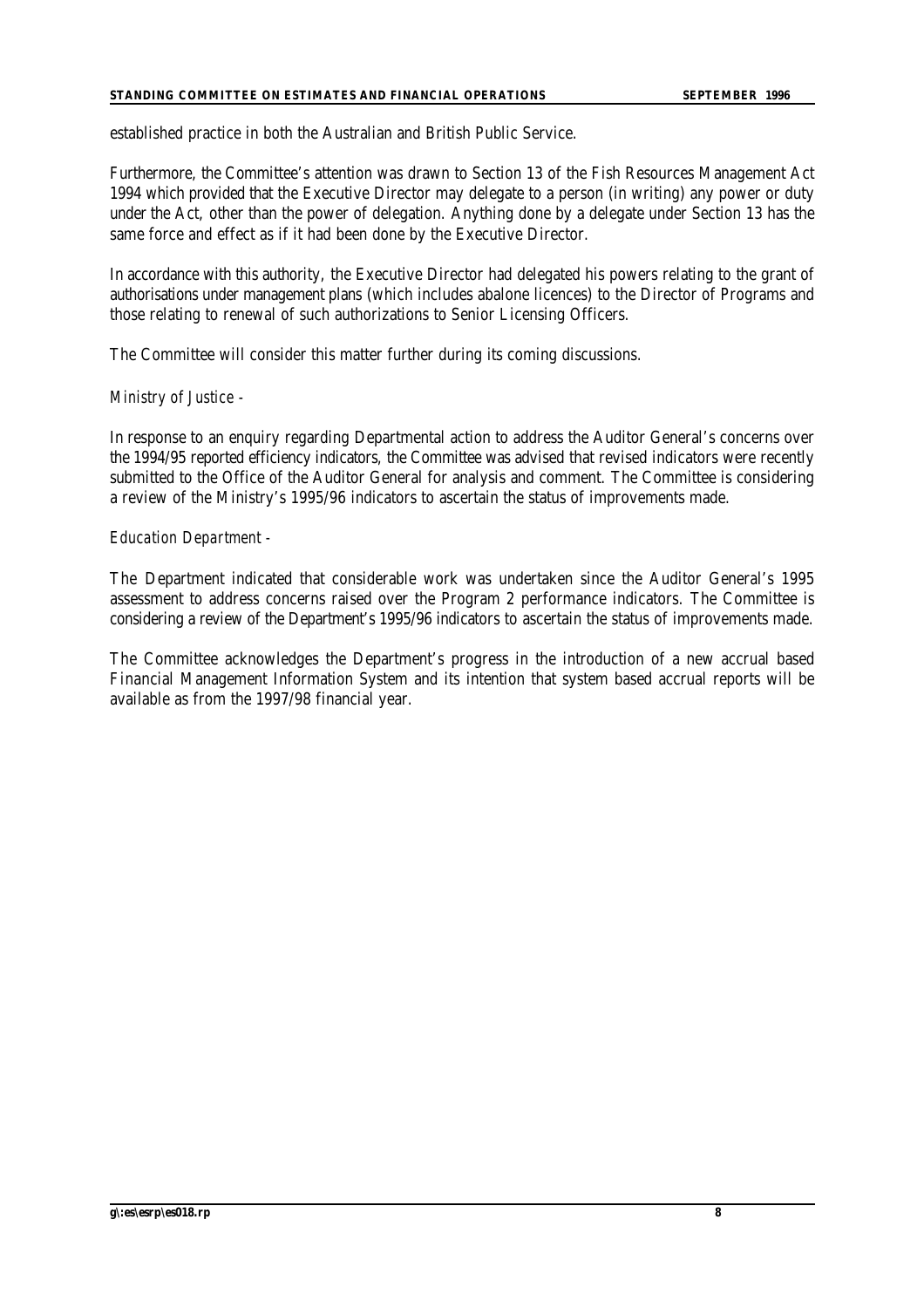#### **STANDING COMMITTEE ON ESTIMATES AND FINANCIAL OPERATIONS SEPTEMBER 1996**

established practice in both the Australian and British Public Service.

Furthermore, the Committee's attention was drawn to Section 13 of the Fish Resources Management Act 1994 which provided that the Executive Director may delegate to a person (in writing) any power or duty under the Act, other than the power of delegation. Anything done by a delegate under Section 13 has the same force and effect as if it had been done by the Executive Director.

In accordance with this authority, the Executive Director had delegated his powers relating to the grant of authorisations under management plans (which includes abalone licences) to the Director of Programs and those relating to renewal of such authorizations to Senior Licensing Officers.

The Committee will consider this matter further during its coming discussions.

#### *Ministry of Justice -*

In response to an enquiry regarding Departmental action to address the Auditor General's concerns over the 1994/95 reported efficiency indicators, the Committee was advised that revised indicators were recently submitted to the Office of the Auditor General for analysis and comment. The Committee is considering a review of the Ministry's 1995/96 indicators to ascertain the status of improvements made.

#### *Education Department -*

The Department indicated that considerable work was undertaken since the Auditor General's 1995 assessment to address concerns raised over the Program 2 performance indicators. The Committee is considering a review of the Department's 1995/96 indicators to ascertain the status of improvements made.

The Committee acknowledges the Department's progress in the introduction of a new accrual based Financial Management Information System and its intention that system based accrual reports will be available as from the 1997/98 financial year.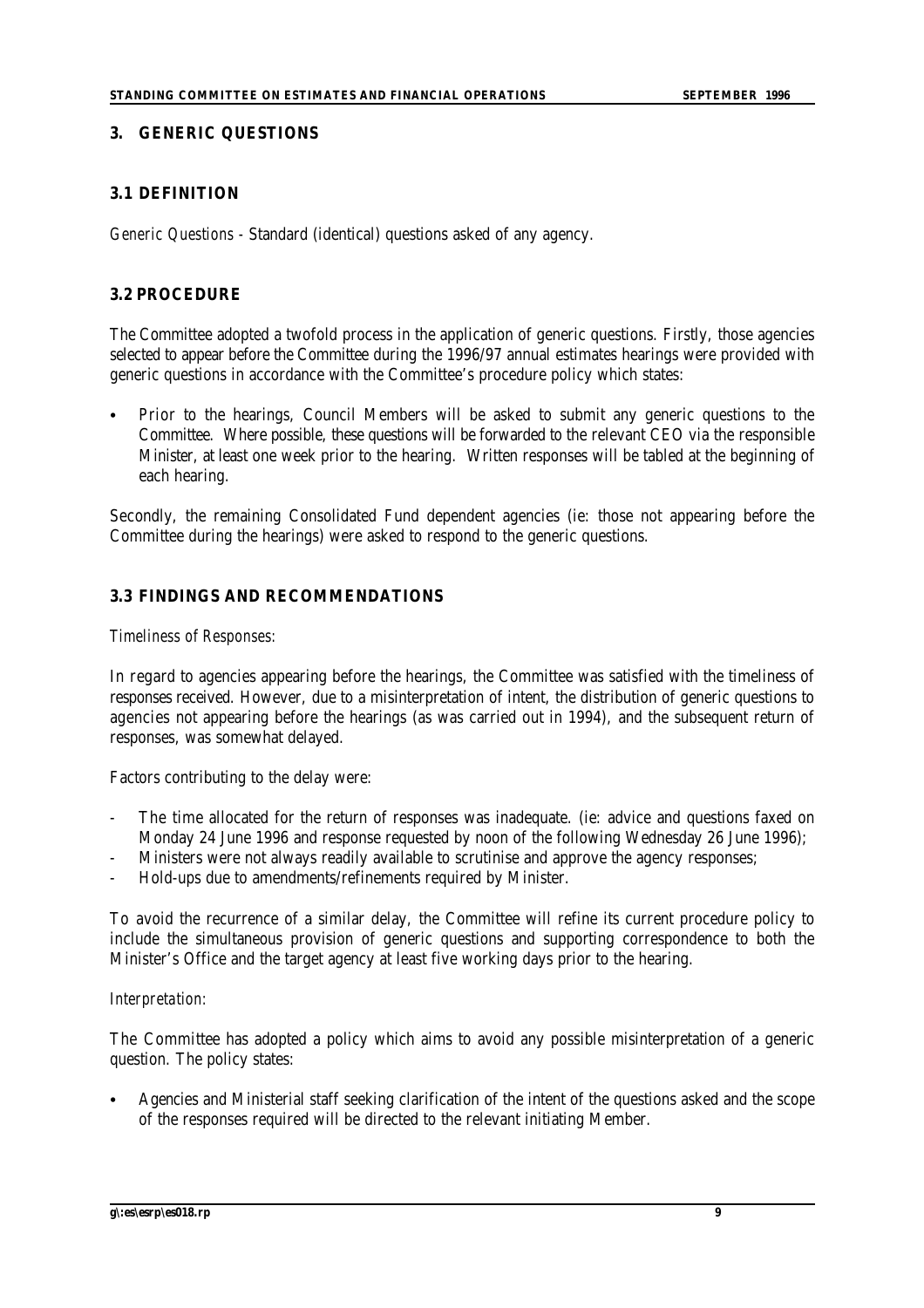#### **3. GENERIC QUESTIONS**

## **3.1 DEFINITION**

*Generic Questions -* Standard (identical) questions asked of any agency.

## **3.2 PROCEDURE**

The Committee adopted a twofold process in the application of generic questions. Firstly, those agencies selected to appear before the Committee during the 1996/97 annual estimates hearings were provided with generic questions in accordance with the Committee's procedure policy which states:

Prior to the hearings, Council Members will be asked to submit any generic questions to the Committee. Where possible, these questions will be forwarded to the relevant CEO via the responsible Minister, at least one week prior to the hearing. Written responses will be tabled at the beginning of each hearing.

Secondly, the remaining Consolidated Fund dependent agencies (ie: those not appearing before the Committee during the hearings) were asked to respond to the generic questions.

## **3.3 FINDINGS AND RECOMMENDATIONS**

#### *Timeliness of Responses:*

In regard to agencies appearing before the hearings, the Committee was satisfied with the timeliness of responses received. However, due to a misinterpretation of intent, the distribution of generic questions to agencies not appearing before the hearings (as was carried out in 1994), and the subsequent return of responses, was somewhat delayed.

Factors contributing to the delay were:

- The time allocated for the return of responses was inadequate. (ie: advice and questions faxed on Monday 24 June 1996 and response requested by noon of the following Wednesday 26 June 1996);
- Ministers were not always readily available to scrutinise and approve the agency responses;
- Hold-ups due to amendments/refinements required by Minister.

To avoid the recurrence of a similar delay, the Committee will refine its current procedure policy to include the simultaneous provision of generic questions and supporting correspondence to both the Minister's Office and the target agency at least five working days prior to the hearing.

#### *Interpretation:*

The Committee has adopted a policy which aims to avoid any possible misinterpretation of a generic question. The policy states:

Agencies and Ministerial staff seeking clarification of the intent of the questions asked and the scope of the responses required will be directed to the relevant initiating Member.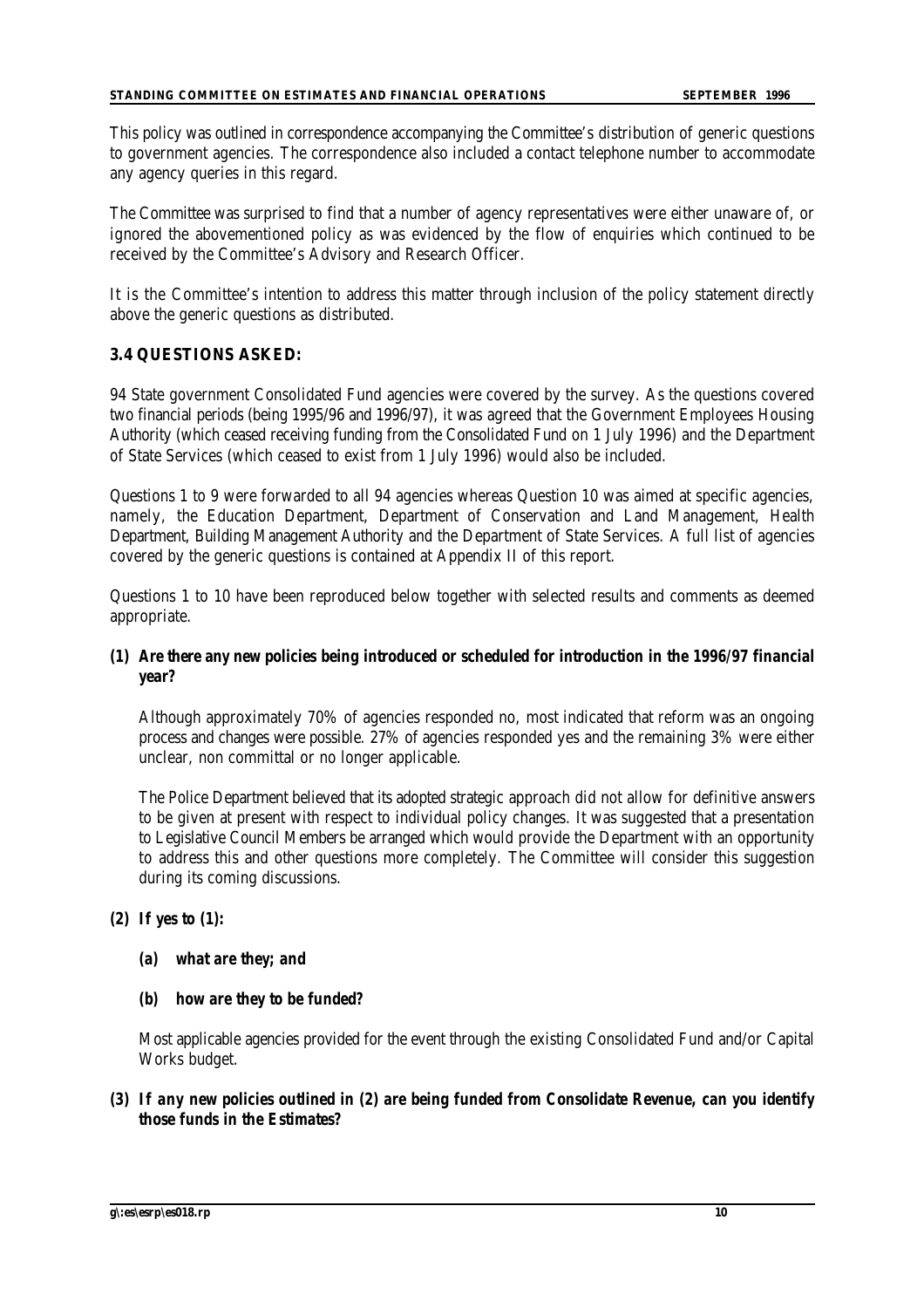This policy was outlined in correspondence accompanying the Committee's distribution of generic questions to government agencies. The correspondence also included a contact telephone number to accommodate any agency queries in this regard.

The Committee was surprised to find that a number of agency representatives were either unaware of, or ignored the abovementioned policy as was evidenced by the flow of enquiries which continued to be received by the Committee's Advisory and Research Officer.

It is the Committee's intention to address this matter through inclusion of the policy statement directly above the generic questions as distributed.

#### **3.4 QUESTIONS ASKED:**

94 State government Consolidated Fund agencies were covered by the survey. As the questions covered two financial periods (being 1995/96 and 1996/97), it was agreed that the Government Employees Housing Authority (which ceased receiving funding from the Consolidated Fund on 1 July 1996) and the Department of State Services (which ceased to exist from 1 July 1996) would also be included.

Questions 1 to 9 were forwarded to all 94 agencies whereas Question 10 was aimed at specific agencies, namely, the Education Department, Department of Conservation and Land Management, Health Department, Building Management Authority and the Department of State Services. A full list of agencies covered by the generic questions is contained at Appendix II of this report.

Questions 1 to 10 have been reproduced below together with selected results and comments as deemed appropriate.

## *(1) Are there any new policies being introduced or scheduled for introduction in the 1996/97 financial year?*

Although approximately 70% of agencies responded no, most indicated that reform was an ongoing process and changes were possible. 27% of agencies responded yes and the remaining 3% were either unclear, non committal or no longer applicable.

The Police Department believed that its adopted strategic approach did not allow for definitive answers to be given at present with respect to individual policy changes. It was suggested that a presentation to Legislative Council Members be arranged which would provide the Department with an opportunity to address this and other questions more completely. The Committee will consider this suggestion during its coming discussions.

#### *(2) If yes to (1):*

#### *(a) what are they; and*

#### *(b) how are they to be funded?*

Most applicable agencies provided for the event through the existing Consolidated Fund and/or Capital Works budget.

## *(3) If any new policies outlined in (2) are being funded from Consolidate Revenue, can you identify those funds in the Estimates?*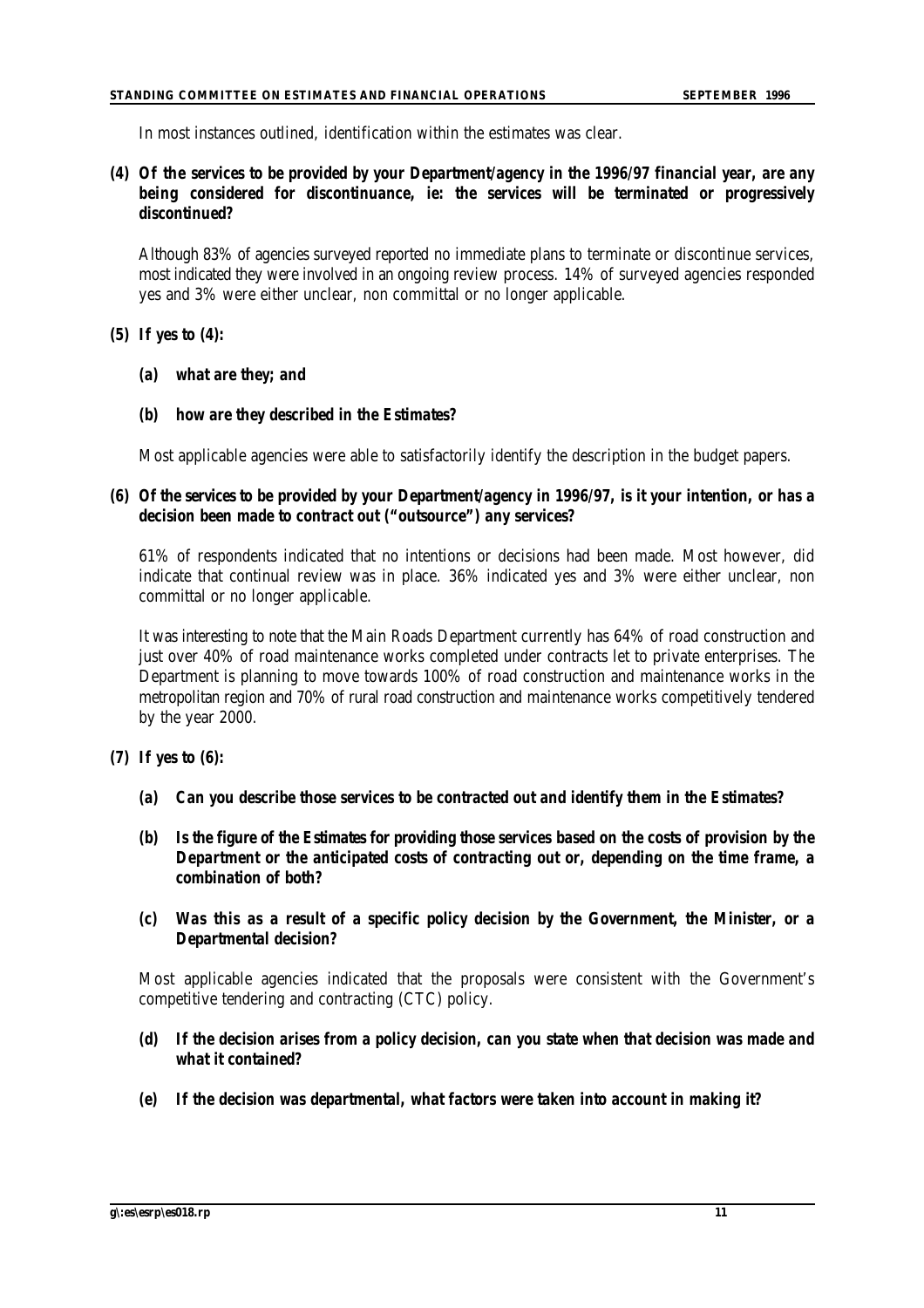In most instances outlined, identification within the estimates was clear.

## *(4) Of the services to be provided by your Department/agency in the 1996/97 financial year, are any being considered for discontinuance, ie: the services will be terminated or progressively discontinued?*

Although 83% of agencies surveyed reported no immediate plans to terminate or discontinue services, most indicated they were involved in an ongoing review process. 14% of surveyed agencies responded yes and 3% were either unclear, non committal or no longer applicable.

## *(5) If yes to (4):*

- *(a) what are they; and*
- *(b) how are they described in the Estimates?*

Most applicable agencies were able to satisfactorily identify the description in the budget papers.

## *(6) Of the services to be provided by your Department/agency in 1996/97, is it your intention, or has a decision been made to contract out ("outsource") any services?*

61% of respondents indicated that no intentions or decisions had been made. Most however, did indicate that continual review was in place. 36% indicated yes and 3% were either unclear, non committal or no longer applicable.

It was interesting to note that the Main Roads Department currently has 64% of road construction and just over 40% of road maintenance works completed under contracts let to private enterprises. The Department is planning to move towards 100% of road construction and maintenance works in the metropolitan region and 70% of rural road construction and maintenance works competitively tendered by the year 2000.

## *(7) If yes to (6):*

- *(a) Can you describe those services to be contracted out and identify them in the Estimates?*
- *(b) Is the figure of the Estimates for providing those services based on the costs of provision by the Department or the anticipated costs of contracting out or, depending on the time frame, a combination of both?*
- *(c) Was this as a result of a specific policy decision by the Government, the Minister, or a Departmental decision?*

Most applicable agencies indicated that the proposals were consistent with the Government's competitive tendering and contracting (CTC) policy.

- *(d) If the decision arises from a policy decision, can you state when that decision was made and what it contained?*
- *(e) If the decision was departmental, what factors were taken into account in making it?*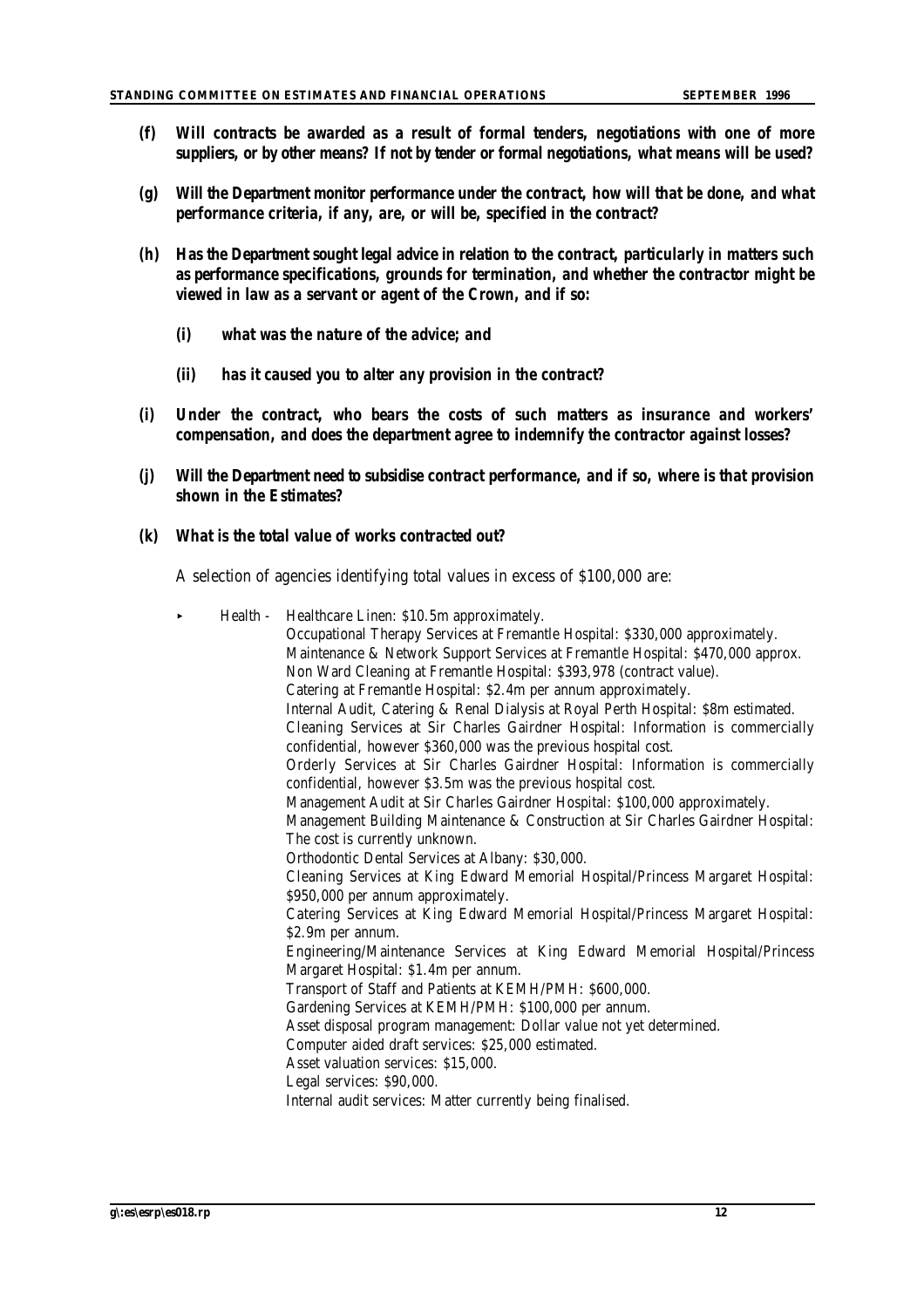- *(f) Will contracts be awarded as a result of formal tenders, negotiations with one of more suppliers, or by other means? If not by tender or formal negotiations, what means will be used?*
- *(g) Will the Department monitor performance under the contract, how will that be done, and what performance criteria, if any, are, or will be, specified in the contract?*
- *(h) Has the Department sought legal advice in relation to the contract, particularly in matters such as performance specifications, grounds for termination, and whether the contractor might be viewed in law as a servant or agent of the Crown, and if so:*
	- *(i) what was the nature of the advice; and*
	- *(ii) has it caused you to alter any provision in the contract?*
- *(i) Under the contract, who bears the costs of such matters as insurance and workers' compensation, and does the department agree to indemnify the contractor against losses?*
- *(j) Will the Department need to subsidise contract performance, and if so, where is that provision shown in the Estimates?*

## *(k) What is the total value of works contracted out?*

A selection of agencies identifying total values in excess of \$100,000 are:

| $\blacktriangleright$ | Health - Healthcare Linen: \$10.5m approximately.<br>Occupational Therapy Services at Fremantle Hospital: \$330,000 approximately.<br>Maintenance & Network Support Services at Fremantle Hospital: \$470,000 approx.<br>Non Ward Cleaning at Fremantle Hospital: \$393,978 (contract value).<br>Catering at Fremantle Hospital: \$2.4m per annum approximately.<br>Internal Audit, Catering & Renal Dialysis at Royal Perth Hospital: \$8m estimated.<br>Cleaning Services at Sir Charles Gairdner Hospital: Information is commercially<br>confidential, however \$360,000 was the previous hospital cost.<br>Orderly Services at Sir Charles Gairdner Hospital: Information is commercially<br>confidential, however \$3.5m was the previous hospital cost.<br>Management Audit at Sir Charles Gairdner Hospital: \$100,000 approximately.<br>Management Building Maintenance & Construction at Sir Charles Gairdner Hospital:<br>The cost is currently unknown.<br>Orthodontic Dental Services at Albany: \$30,000.<br>Cleaning Services at King Edward Memorial Hospital/Princess Margaret Hospital:<br>\$950,000 per annum approximately.<br>Catering Services at King Edward Memorial Hospital/Princess Margaret Hospital:<br>\$2.9m per annum.<br>Engineering/Maintenance Services at King Edward Memorial Hospital/Princess<br>Margaret Hospital: \$1.4m per annum.<br>Transport of Staff and Patients at KEMH/PMH: \$600,000.<br>Gardening Services at KEMH/PMH: \$100,000 per annum.<br>Asset disposal program management: Dollar value not yet determined.<br>Computer aided draft services: \$25,000 estimated.<br>Asset valuation services: \$15,000.<br>Legal services: \$90,000.<br>Internal audit services: Matter currently being finalised. |
|-----------------------|----------------------------------------------------------------------------------------------------------------------------------------------------------------------------------------------------------------------------------------------------------------------------------------------------------------------------------------------------------------------------------------------------------------------------------------------------------------------------------------------------------------------------------------------------------------------------------------------------------------------------------------------------------------------------------------------------------------------------------------------------------------------------------------------------------------------------------------------------------------------------------------------------------------------------------------------------------------------------------------------------------------------------------------------------------------------------------------------------------------------------------------------------------------------------------------------------------------------------------------------------------------------------------------------------------------------------------------------------------------------------------------------------------------------------------------------------------------------------------------------------------------------------------------------------------------------------------------------------------------------------------------------------------------------------------------------------------------------------------------------------------------|
|-----------------------|----------------------------------------------------------------------------------------------------------------------------------------------------------------------------------------------------------------------------------------------------------------------------------------------------------------------------------------------------------------------------------------------------------------------------------------------------------------------------------------------------------------------------------------------------------------------------------------------------------------------------------------------------------------------------------------------------------------------------------------------------------------------------------------------------------------------------------------------------------------------------------------------------------------------------------------------------------------------------------------------------------------------------------------------------------------------------------------------------------------------------------------------------------------------------------------------------------------------------------------------------------------------------------------------------------------------------------------------------------------------------------------------------------------------------------------------------------------------------------------------------------------------------------------------------------------------------------------------------------------------------------------------------------------------------------------------------------------------------------------------------------------|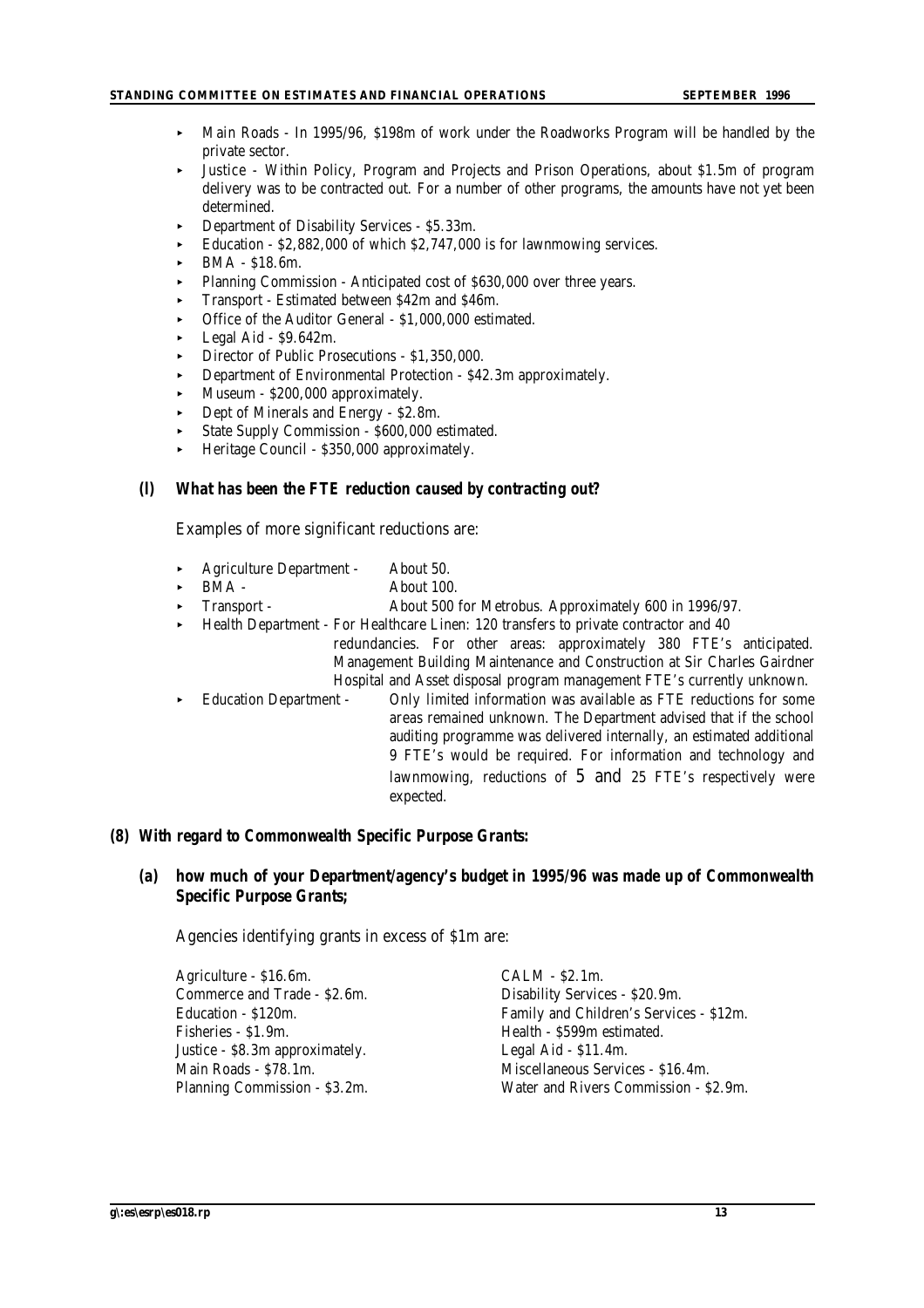- < Main Roads In 1995/96, \$198m of work under the Roadworks Program will be handled by the private sector.
- < Justice Within Policy, Program and Projects and Prison Operations, about \$1.5m of program delivery was to be contracted out. For a number of other programs, the amounts have not yet been determined.
- < Department of Disability Services \$5.33m.
- < Education \$2,882,000 of which \$2,747,000 is for lawnmowing services.
- < BMA \$18.6m.
- < Planning Commission Anticipated cost of \$630,000 over three years.
- < Transport Estimated between \$42m and \$46m.
- < Office of the Auditor General \$1,000,000 estimated.
- < Legal Aid \$9.642m.
- < Director of Public Prosecutions \$1,350,000.
- < Department of Environmental Protection \$42.3m approximately.
- < Museum \$200,000 approximately.
- Dept of Minerals and Energy \$2.8m.
- State Supply Commission \$600,000 estimated.
- < Heritage Council \$350,000 approximately.

#### *(l) What has been the FTE reduction caused by contracting out?*

Examples of more significant reductions are:

- < Agriculture Department About 50.
- BMA About 100.
- Transport About 500 for Metrobus. Approximately 600 in 1996/97.
- < Health Department For Healthcare Linen: 120 transfers to private contractor and 40
	- redundancies. For other areas: approximately 380 FTE's anticipated. Management Building Maintenance and Construction at Sir Charles Gairdner Hospital and Asset disposal program management FTE's currently unknown.
- < Education Department Only limited information was available as FTE reductions for some areas remained unknown. The Department advised that if the school auditing programme was delivered internally, an estimated additional 9 FTE's would be required. For information and technology and lawnmowing, reductions of 5 and 25 FTE's respectively were expected.

#### *(8) With regard to Commonwealth Specific Purpose Grants:*

#### *(a) how much of your Department/agency's budget in 1995/96 was made up of Commonwealth Specific Purpose Grants;*

Agencies identifying grants in excess of \$1m are:

| Agriculture - \$16.6m.          | $CALM - $2.1m.$                         |
|---------------------------------|-----------------------------------------|
| Commerce and Trade - \$2.6m.    | Disability Services - \$20.9m.          |
| Education - \$120m.             | Family and Children's Services - \$12m. |
| Fisheries - \$1.9m.             | Health - \$599m estimated.              |
| Justice - \$8.3m approximately. | Legal Aid - \$11.4m.                    |
| Main Roads - \$78.1m.           | Miscellaneous Services - \$16.4m.       |
| Planning Commission - \$3.2m.   | Water and Rivers Commission - \$2.9m.   |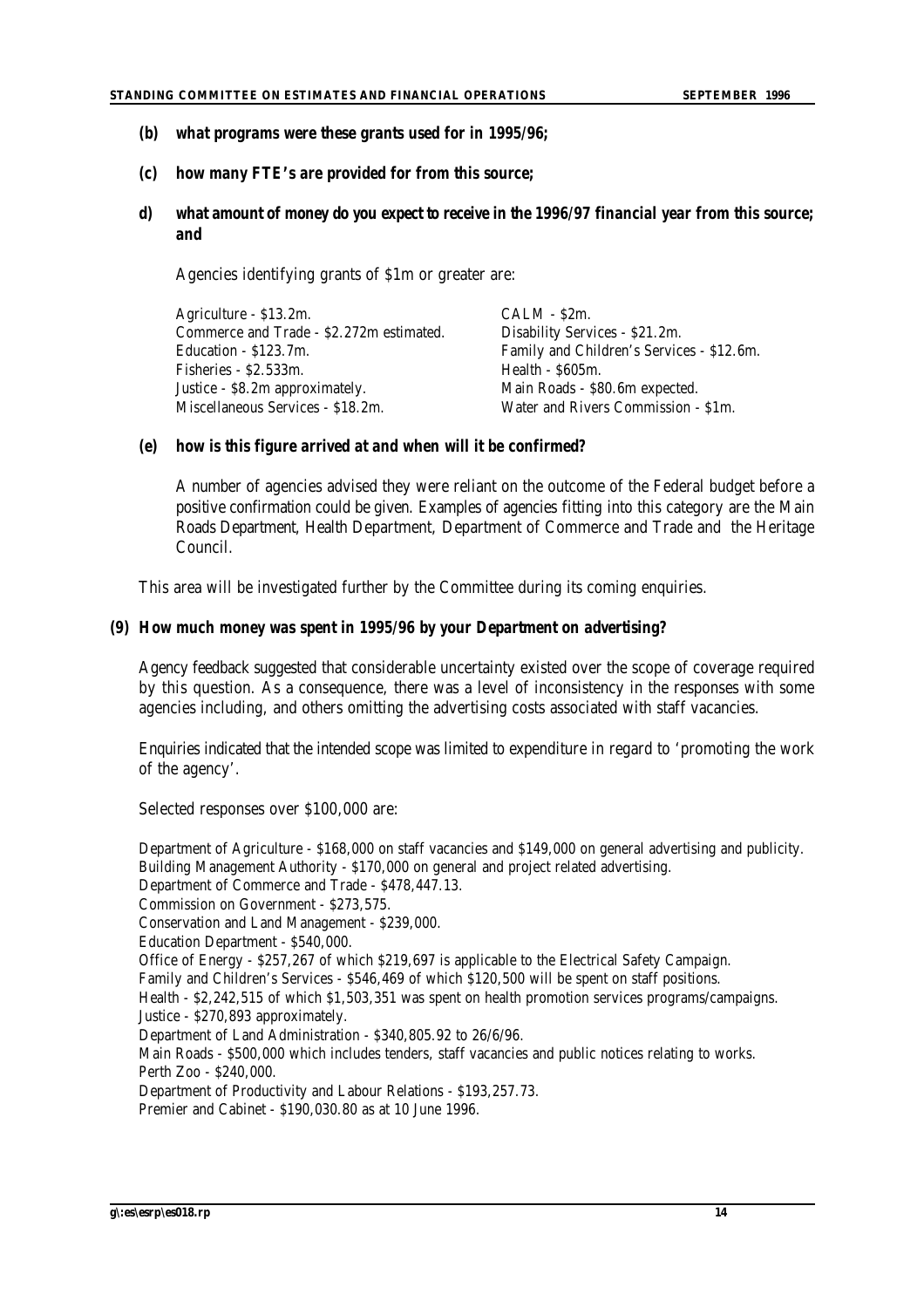- *(b) what programs were these grants used for in 1995/96;*
- *(c) how many FTE's are provided for from this source;*
- *d) what amount of money do you expect to receive in the 1996/97 financial year from this source; and*

Agencies identifying grants of \$1m or greater are:

| Agriculture - \$13.2m.                   | $CALM - S2m$ .                            |
|------------------------------------------|-------------------------------------------|
| Commerce and Trade - \$2.272m estimated. | Disability Services - \$21.2m.            |
| Education - \$123.7m.                    | Family and Children's Services - \$12.6m. |
| Fisheries - \$2.533m.                    | Health - \$605m.                          |
| Justice - \$8.2m approximately.          | Main Roads - \$80.6m expected.            |
| Miscellaneous Services - \$18.2m.        | Water and Rivers Commission - \$1m.       |

#### *(e) how is this figure arrived at and when will it be confirmed?*

A number of agencies advised they were reliant on the outcome of the Federal budget before a positive confirmation could be given. Examples of agencies fitting into this category are the Main Roads Department, Health Department, Department of Commerce and Trade and the Heritage Council.

This area will be investigated further by the Committee during its coming enquiries.

#### *(9) How much money was spent in 1995/96 by your Department on advertising?*

Agency feedback suggested that considerable uncertainty existed over the scope of coverage required by this question. As a consequence, there was a level of inconsistency in the responses with some agencies including, and others omitting the advertising costs associated with staff vacancies.

Enquiries indicated that the intended scope was limited to expenditure in regard to 'promoting the work of the agency'.

Selected responses over \$100,000 are:

Department of Agriculture - \$168,000 on staff vacancies and \$149,000 on general advertising and publicity. Building Management Authority - \$170,000 on general and project related advertising. Department of Commerce and Trade - \$478,447.13. Commission on Government - \$273,575. Conservation and Land Management - \$239,000. Education Department - \$540,000. Office of Energy - \$257,267 of which \$219,697 is applicable to the Electrical Safety Campaign. Family and Children's Services - \$546,469 of which \$120,500 will be spent on staff positions. Health - \$2,242,515 of which \$1,503,351 was spent on health promotion services programs/campaigns. Justice - \$270,893 approximately. Department of Land Administration - \$340,805.92 to 26/6/96. Main Roads - \$500,000 which includes tenders, staff vacancies and public notices relating to works. Perth Zoo - \$240,000. Department of Productivity and Labour Relations - \$193,257.73. Premier and Cabinet - \$190,030.80 as at 10 June 1996.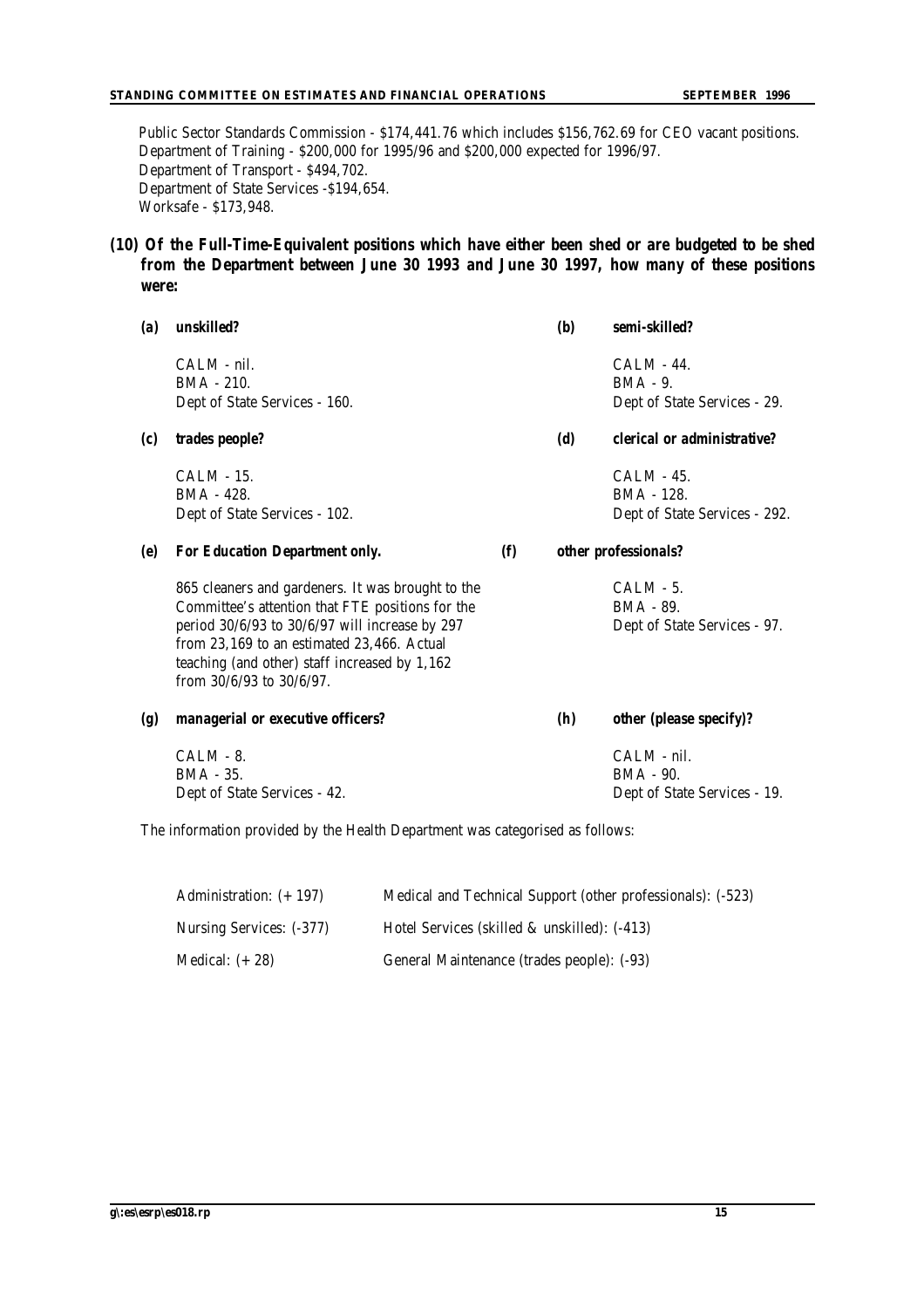Public Sector Standards Commission - \$174,441.76 which includes \$156,762.69 for CEO vacant positions. Department of Training - \$200,000 for 1995/96 and \$200,000 expected for 1996/97. Department of Transport - \$494,702. Department of State Services -\$194,654. Worksafe - \$173,948.

#### *(10) Of the Full-Time-Equivalent positions which have either been shed or are budgeted to be shed from the Department between June 30 1993 and June 30 1997, how many of these positions were:*

| (a)              | unskilled?                                                                                                                                                                                                                                                                              |     | <b>(b)</b> | semi-skilled?                                                    |
|------------------|-----------------------------------------------------------------------------------------------------------------------------------------------------------------------------------------------------------------------------------------------------------------------------------------|-----|------------|------------------------------------------------------------------|
|                  | CALM - nil.<br>BMA - 210.<br>Dept of State Services - 160.                                                                                                                                                                                                                              |     |            | <b>CALM - 44.</b><br>$BMA - 9$ .<br>Dept of State Services - 29. |
| (c)              | trades people?                                                                                                                                                                                                                                                                          |     | (d)        | clerical or administrative?                                      |
|                  | CALM - 15.<br>BMA - 428.<br>Dept of State Services - 102.                                                                                                                                                                                                                               |     |            | CALM - 45.<br>BMA - 128.<br>Dept of State Services - 292.        |
| (e)              | <b>For Education Department only.</b>                                                                                                                                                                                                                                                   | (f) |            | other professionals?                                             |
|                  | 865 cleaners and gardeners. It was brought to the<br>Committee's attention that FTE positions for the<br>period 30/6/93 to 30/6/97 will increase by 297<br>from 23,169 to an estimated 23,466. Actual<br>teaching (and other) staff increased by 1,162<br>from $30/6/93$ to $30/6/97$ . |     |            | CALM - 5.<br>BMA - 89.<br>Dept of State Services - 97.           |
| $\left(g\right)$ | managerial or executive officers?                                                                                                                                                                                                                                                       |     | (h)        | other (please specify)?                                          |
|                  | $CALM - 8.$<br>BMA - 35.<br>Dept of State Services - 42.                                                                                                                                                                                                                                |     |            | CALM - nil.<br>BMA - 90.<br>Dept of State Services - 19.         |

The information provided by the Health Department was categorised as follows:

| Administration: $(+ 197)$ | Medical and Technical Support (other professionals): (-523) |
|---------------------------|-------------------------------------------------------------|
| Nursing Services: (-377)  | Hotel Services (skilled & unskilled): (-413)                |
| Medical: $(+ 28)$         | General Maintenance (trades people): (-93)                  |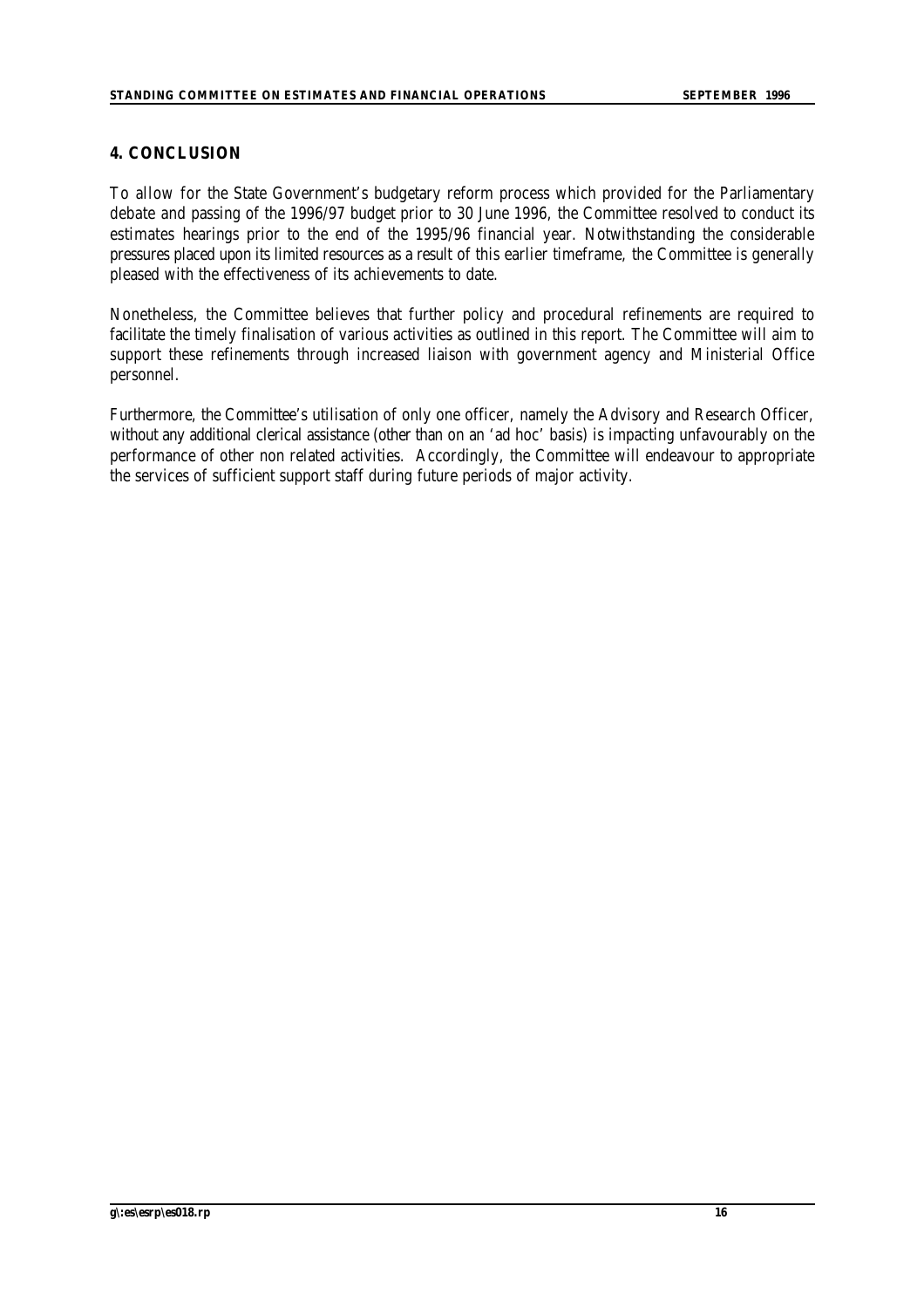## **4. CONCLUSION**

To allow for the State Government's budgetary reform process which provided for the Parliamentary debate and passing of the 1996/97 budget prior to 30 June 1996, the Committee resolved to conduct its estimates hearings prior to the end of the 1995/96 financial year. Notwithstanding the considerable pressures placed upon its limited resources as a result of this earlier timeframe, the Committee is generally pleased with the effectiveness of its achievements to date.

Nonetheless, the Committee believes that further policy and procedural refinements are required to facilitate the timely finalisation of various activities as outlined in this report. The Committee will aim to support these refinements through increased liaison with government agency and Ministerial Office personnel.

Furthermore, the Committee's utilisation of only one officer, namely the Advisory and Research Officer, without any additional clerical assistance (other than on an 'ad hoc' basis) is impacting unfavourably on the performance of other non related activities. Accordingly, the Committee will endeavour to appropriate the services of sufficient support staff during future periods of major activity.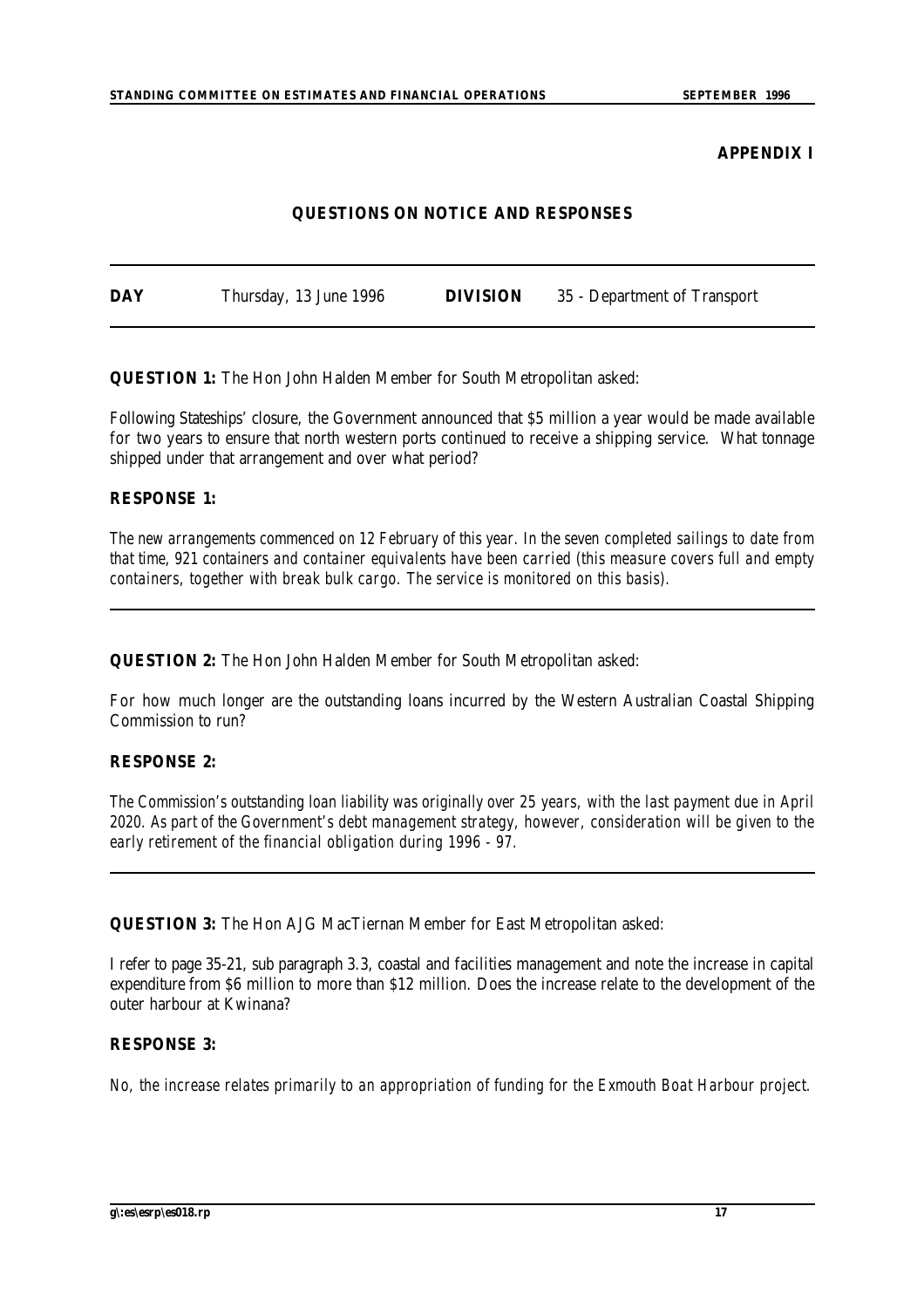#### **APPENDIX I**

#### **QUESTIONS ON NOTICE AND RESPONSES**

| <b>DAY</b> | Thursday, 13 June 1996 | <b>DIVISION</b> | 35 - Department of Transport |
|------------|------------------------|-----------------|------------------------------|
|            |                        |                 |                              |

**QUESTION 1:** The Hon John Halden Member for South Metropolitan asked:

Following Stateships' closure, the Government announced that \$5 million a year would be made available for two years to ensure that north western ports continued to receive a shipping service. What tonnage shipped under that arrangement and over what period?

#### **RESPONSE 1:**

*The new arrangements commenced on 12 February of this year. In the seven completed sailings to date from that time, 921 containers and container equivalents have been carried (this measure covers full and empty containers, together with break bulk cargo. The service is monitored on this basis).*

**QUESTION 2:** The Hon John Halden Member for South Metropolitan asked:

For how much longer are the outstanding loans incurred by the Western Australian Coastal Shipping Commission to run?

#### **RESPONSE 2:**

*The Commission's outstanding loan liability was originally over 25 years, with the last payment due in April 2020. As part of the Government's debt management strategy, however, consideration will be given to the early retirement of the financial obligation during 1996 - 97.*

**QUESTION 3:** The Hon AJG MacTiernan Member for East Metropolitan asked:

I refer to page 35-21, sub paragraph 3.3, coastal and facilities management and note the increase in capital expenditure from \$6 million to more than \$12 million. Does the increase relate to the development of the outer harbour at Kwinana?

## **RESPONSE 3:**

*No, the increase relates primarily to an appropriation of funding for the Exmouth Boat Harbour project.*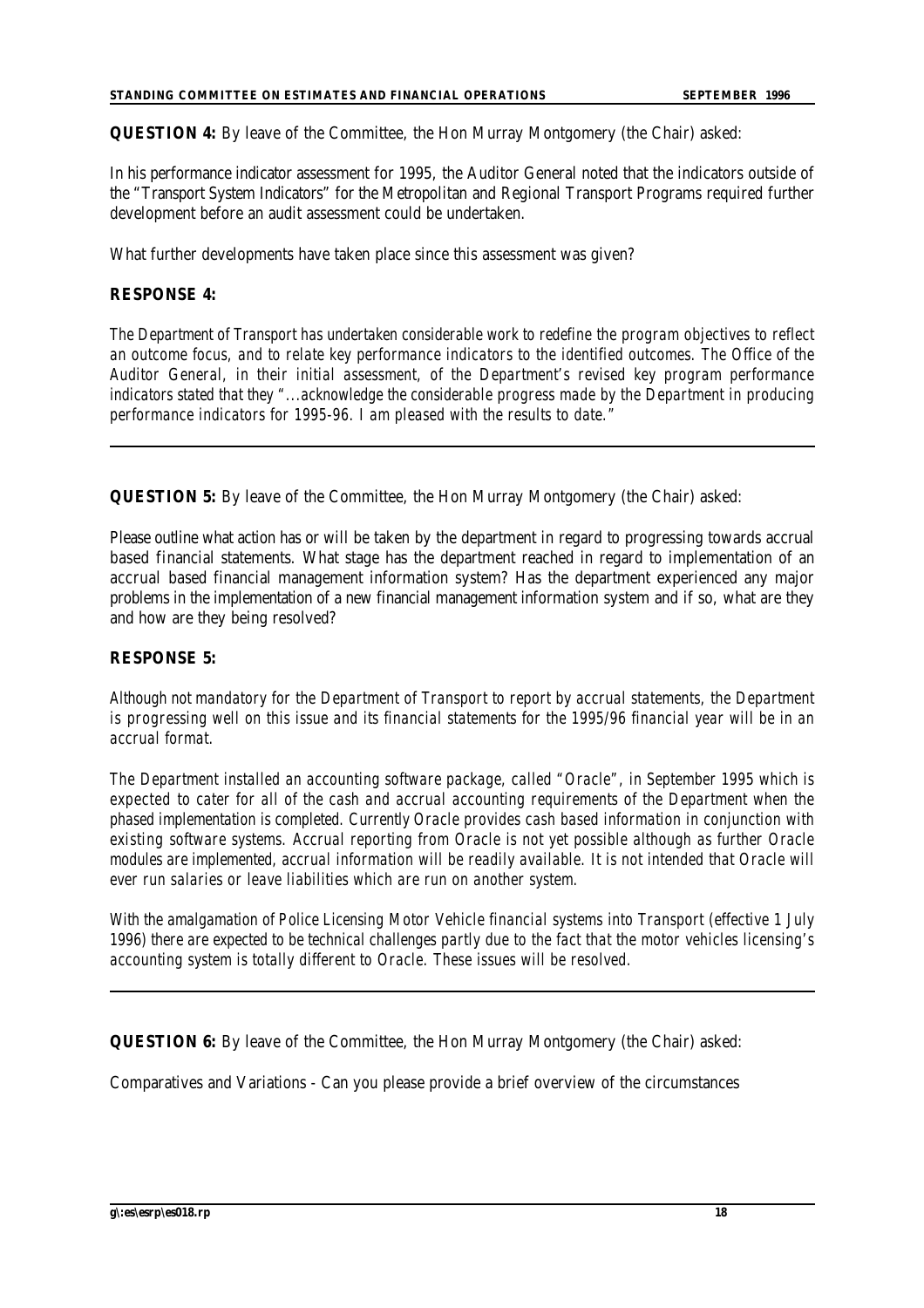**QUESTION 4:** By leave of the Committee, the Hon Murray Montgomery (the Chair) asked:

In his performance indicator assessment for 1995, the Auditor General noted that the indicators outside of the "Transport System Indicators" for the Metropolitan and Regional Transport Programs required further development before an audit assessment could be undertaken.

What further developments have taken place since this assessment was given?

#### **RESPONSE 4:**

*The Department of Transport has undertaken considerable work to redefine the program objectives to reflect an outcome focus, and to relate key performance indicators to the identified outcomes. The Office of the Auditor General, in their initial assessment, of the Department's revised key program performance indicators stated that they "...acknowledge the considerable progress made by the Department in producing performance indicators for 1995-96. I am pleased with the results to date."*

**QUESTION 5:** By leave of the Committee, the Hon Murray Montgomery (the Chair) asked:

Please outline what action has or will be taken by the department in regard to progressing towards accrual based financial statements. What stage has the department reached in regard to implementation of an accrual based financial management information system? Has the department experienced any major problems in the implementation of a new financial management information system and if so, what are they and how are they being resolved?

#### **RESPONSE 5:**

*Although not mandatory for the Department of Transport to report by accrual statements, the Department is progressing well on this issue and its financial statements for the 1995/96 financial year will be in an accrual format.*

*The Department installed an accounting software package, called "Oracle", in September 1995 which is expected to cater for all of the cash and accrual accounting requirements of the Department when the phased implementation is completed. Currently Oracle provides cash based information in conjunction with existing software systems. Accrual reporting from Oracle is not yet possible although as further Oracle* modules are implemented, accrual information will be readily available. It is not intended that Oracle will *ever run salaries or leave liabilities which are run on another system.*

*With the amalgamation of Police Licensing Motor Vehicle financial systems into Transport (effective 1 July 1996) there are expected to be technical challenges partly due to the fact that the motor vehicles licensing's accounting system is totally different to Oracle. These issues will be resolved.*

**QUESTION 6:** By leave of the Committee, the Hon Murray Montgomery (the Chair) asked:

Comparatives and Variations - Can you please provide a brief overview of the circumstances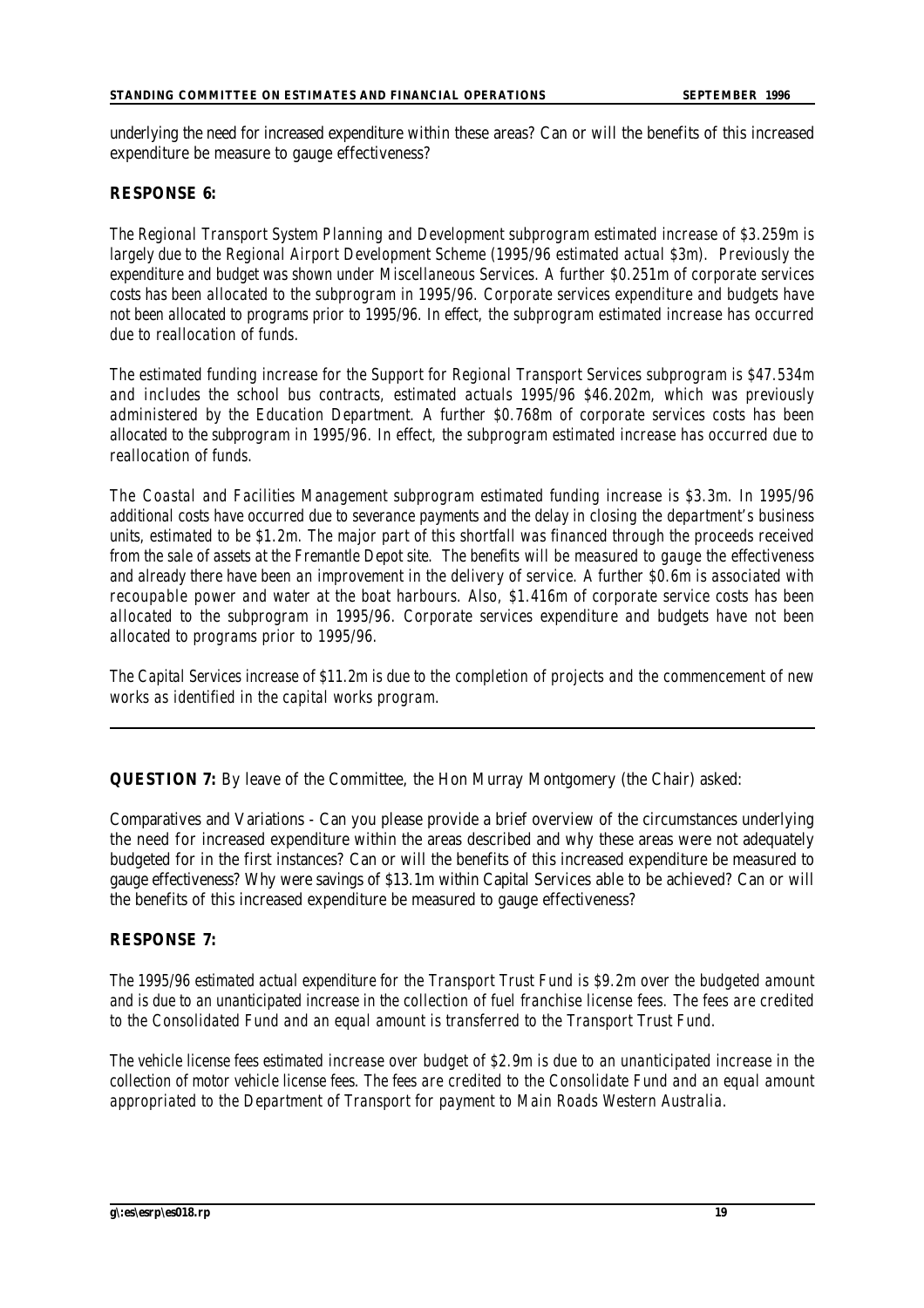underlying the need for increased expenditure within these areas? Can or will the benefits of this increased expenditure be measure to gauge effectiveness?

#### **RESPONSE 6:**

*The Regional Transport System Planning and Development subprogram estimated increase of \$3.259m is largely due to the Regional Airport Development Scheme (1995/96 estimated actual \$3m). Previously the expenditure and budget was shown under Miscellaneous Services. A further \$0.251m of corporate services costs has been allocated to the subprogram in 1995/96. Corporate services expenditure and budgets have not been allocated to programs prior to 1995/96. In effect, the subprogram estimated increase has occurred due to reallocation of funds.*

*The estimated funding increase for the Support for Regional Transport Services subprogram is \$47.534m and includes the school bus contracts, estimated actuals 1995/96 \$46.202m, which was previously administered by the Education Department. A further \$0.768m of corporate services costs has been allocated to the subprogram in 1995/96. In effect, the subprogram estimated increase has occurred due to reallocation of funds.*

*The Coastal and Facilities Management subprogram estimated funding increase is \$3.3m. In 1995/96 additional costs have occurred due to severance payments and the delay in closing the department's business units, estimated to be \$1.2m. The major part of this shortfall was financed through the proceeds received from the sale of assets at the Fremantle Depot site. The benefits will be measured to gauge the effectiveness and already there have been an improvement in the delivery of service. A further \$0.6m is associated with recoupable power and water at the boat harbours. Also, \$1.416m of corporate service costs has been allocated to the subprogram in 1995/96. Corporate services expenditure and budgets have not been allocated to programs prior to 1995/96.*

*The Capital Services increase of \$11.2m is due to the completion of projects and the commencement of new works as identified in the capital works program.*

**QUESTION 7:** By leave of the Committee, the Hon Murray Montgomery (the Chair) asked:

Comparatives and Variations - Can you please provide a brief overview of the circumstances underlying the need for increased expenditure within the areas described and why these areas were not adequately budgeted for in the first instances? Can or will the benefits of this increased expenditure be measured to gauge effectiveness? Why were savings of \$13.1m within Capital Services able to be achieved? Can or will the benefits of this increased expenditure be measured to gauge effectiveness?

#### **RESPONSE 7:**

*The 1995/96 estimated actual expenditure for the Transport Trust Fund is \$9.2m over the budgeted amount and is due to an unanticipated increase in the collection of fuel franchise license fees. The fees are credited to the Consolidated Fund and an equal amount is transferred to the Transport Trust Fund.*

*The vehicle license fees estimated increase over budget of \$2.9m is due to an unanticipated increase in the collection of motor vehicle license fees. The fees are credited to the Consolidate Fund and an equal amount appropriated to the Department of Transport for payment to Main Roads Western Australia.*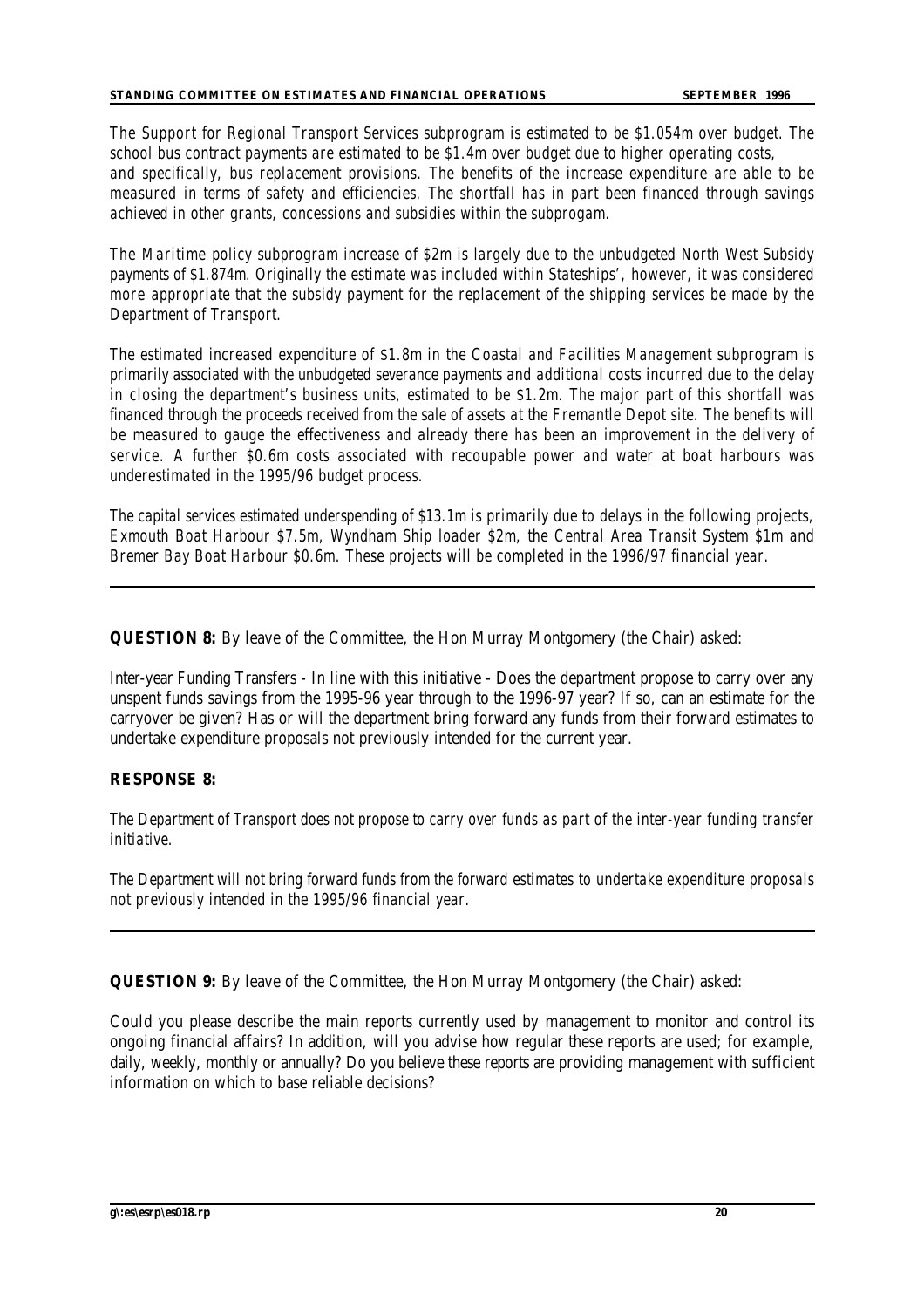*The Support for Regional Transport Services subprogram is estimated to be \$1.054m over budget. The school bus contract payments are estimated to be \$1.4m over budget due to higher operating costs,* 

*and specifically, bus replacement provisions. The benefits of the increase expenditure are able to be measured in terms of safety and efficiencies. The shortfall has in part been financed through savings achieved in other grants, concessions and subsidies within the subprogam.*

*The Maritime policy subprogram increase of \$2m is largely due to the unbudgeted North West Subsidy payments of \$1.874m. Originally the estimate was included within Stateships', however, it was considered more appropriate that the subsidy payment for the replacement of the shipping services be made by the Department of Transport.*

*The estimated increased expenditure of \$1.8m in the Coastal and Facilities Management subprogram is primarily associated with the unbudgeted severance payments and additional costs incurred due to the delay in closing the department's business units, estimated to be \$1.2m. The major part of this shortfall was financed through the proceeds received from the sale of assets at the Fremantle Depot site. The benefits will be measured to gauge the effectiveness and already there has been an improvement in the delivery of service. A further \$0.6m costs associated with recoupable power and water at boat harbours was underestimated in the 1995/96 budget process.*

*The capital services estimated underspending of \$13.1m is primarily due to delays in the following projects, Exmouth Boat Harbour \$7.5m, Wyndham Ship loader \$2m, the Central Area Transit System \$1m and Bremer Bay Boat Harbour \$0.6m. These projects will be completed in the 1996/97 financial year.*

**QUESTION 8:** By leave of the Committee, the Hon Murray Montgomery (the Chair) asked:

Inter-year Funding Transfers - In line with this initiative - Does the department propose to carry over any unspent funds savings from the 1995-96 year through to the 1996-97 year? If so, can an estimate for the carryover be given? Has or will the department bring forward any funds from their forward estimates to undertake expenditure proposals not previously intended for the current year.

#### **RESPONSE 8:**

*The Department of Transport does not propose to carry over funds as part of the inter-year funding transfer initiative.*

*The Department will not bring forward funds from the forward estimates to undertake expenditure proposals not previously intended in the 1995/96 financial year.*

**QUESTION 9:** By leave of the Committee, the Hon Murray Montgomery (the Chair) asked:

Could you please describe the main reports currently used by management to monitor and control its ongoing financial affairs? In addition, will you advise how regular these reports are used; for example, daily, weekly, monthly or annually? Do you believe these reports are providing management with sufficient information on which to base reliable decisions?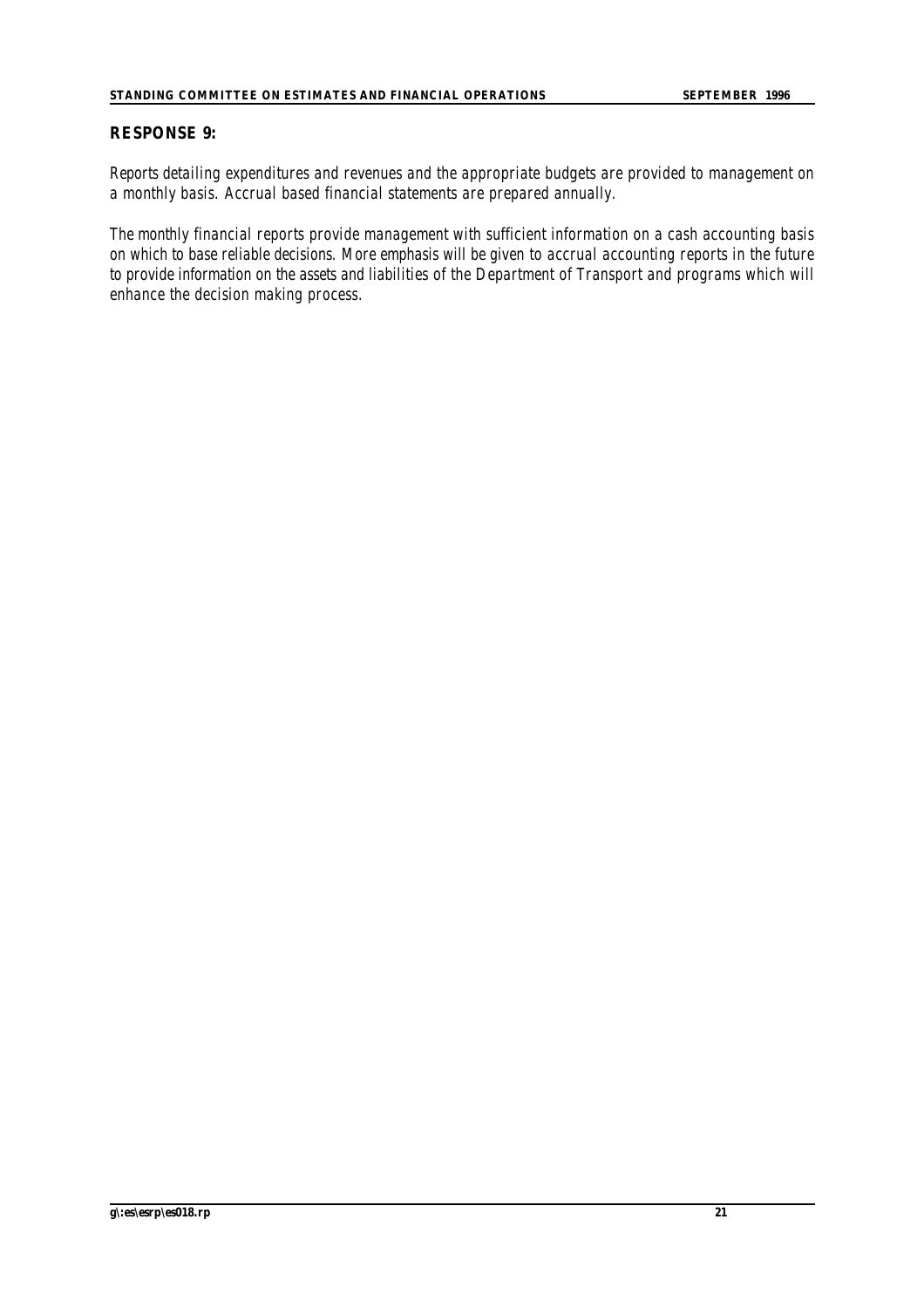## **RESPONSE 9:**

*Reports detailing expenditures and revenues and the appropriate budgets are provided to management on a monthly basis. Accrual based financial statements are prepared annually.*

*The monthly financial reports provide management with sufficient information on a cash accounting basis on which to base reliable decisions. More emphasis will be given to accrual accounting reports in the future* to provide information on the assets and liabilities of the Department of Transport and programs which will *enhance the decision making process.*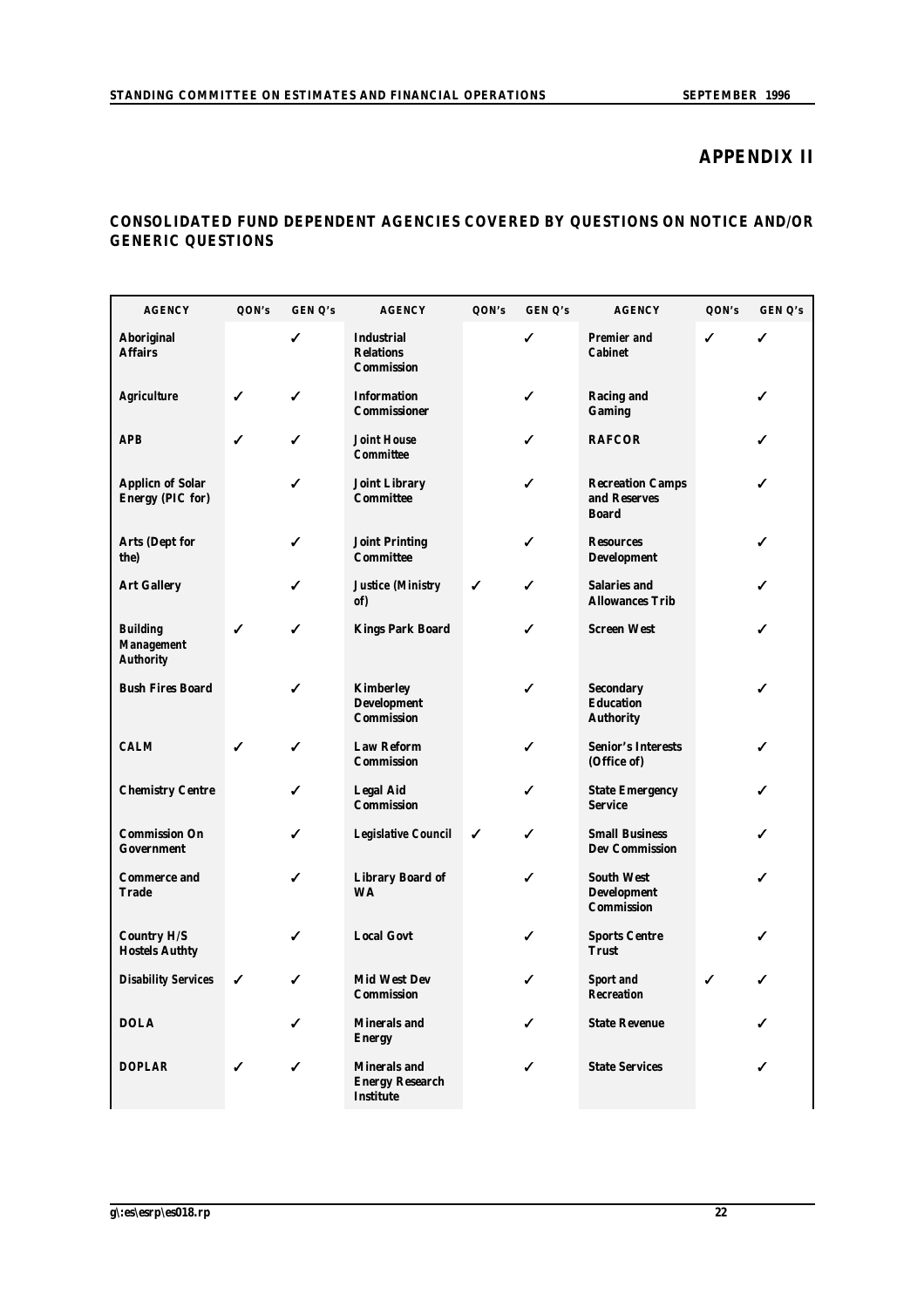## **APPENDIX II**

## **CONSOLIDATED FUND DEPENDENT AGENCIES COVERED BY QUESTIONS ON NOTICE AND/OR GENERIC QUESTIONS**

| <b>AGENCY</b>                                            | QON's | GEN Q's | <b>AGENCY</b>                                                     | QON's | GEN Q's | <b>AGENCY</b>                                                | QON's | GEN Q's |
|----------------------------------------------------------|-------|---------|-------------------------------------------------------------------|-------|---------|--------------------------------------------------------------|-------|---------|
| <b>Aboriginal</b><br><b>Affairs</b>                      |       |         | <b>Industrial</b><br><b>Relations</b><br><b>Commission</b>        |       | ✔       | <b>Premier and</b><br><b>Cabinet</b>                         | ✓     | ✓       |
| <b>Agriculture</b>                                       | ✓     | ✓       | <b>Information</b><br><b>Commissioner</b>                         |       | ✓       | <b>Racing and</b><br><b>Gaming</b>                           |       | ✓       |
| <b>APB</b>                                               | ✔     | ✓       | <b>Joint House</b><br><b>Committee</b>                            |       | ✔       | <b>RAFCOR</b>                                                |       | ✓       |
| <b>Applicn of Solar</b><br><b>Energy (PIC for)</b>       |       | ✓       | <b>Joint Library</b><br><b>Committee</b>                          |       | ✓       | <b>Recreation Camps</b><br>and Reserves<br><b>Board</b>      |       | ✓       |
| <b>Arts (Dept for</b><br>the)                            |       |         | <b>Joint Printing</b><br><b>Committee</b>                         |       | ✓       | <b>Resources</b><br><b>Development</b>                       |       | ✓       |
| <b>Art Gallery</b>                                       |       |         | <b>Justice (Ministry</b><br>of)                                   | ✓     | ✓       | <b>Salaries and</b><br><b>Allowances Trib</b>                |       | ✓       |
| <b>Building</b><br><b>Management</b><br><b>Authority</b> | ✓     | ✓       | <b>Kings Park Board</b>                                           |       | ✔       | <b>Screen West</b>                                           |       | ✓       |
| <b>Bush Fires Board</b>                                  |       |         | <b>Kimberley</b><br><b>Development</b><br><b>Commission</b>       |       | ✔       | <b>Secondary</b><br><b>Education</b><br><b>Authority</b>     |       |         |
| <b>CALM</b>                                              | ✔     | ✓       | <b>Law Reform</b><br><b>Commission</b>                            |       | ✓       | <b>Senior's Interests</b><br>(Office of)                     |       | ✓       |
| <b>Chemistry Centre</b>                                  |       | ✓       | <b>Legal Aid</b><br><b>Commission</b>                             |       | ✓       | <b>State Emergency</b><br><b>Service</b>                     |       | ✓       |
| <b>Commission On</b><br><b>Government</b>                |       | ✓       | <b>Legislative Council</b>                                        | ✓     | ✓       | <b>Small Business</b><br><b>Dev Commission</b>               |       | ✓       |
| <b>Commerce and</b><br><b>Trade</b>                      |       | ✓       | <b>Library Board of</b><br><b>WA</b>                              |       | ✓       | <b>South West</b><br><b>Development</b><br><b>Commission</b> |       | ✓       |
| <b>Country H/S</b><br><b>Hostels Authty</b>              |       | ✔       | <b>Local Govt</b>                                                 |       | ✓       | <b>Sports Centre</b><br><b>Trust</b>                         |       | ✓       |
| <b>Disability Services</b>                               | ✓     | ✔       | <b>Mid West Dev</b><br><b>Commission</b>                          |       | ✓       | <b>Sport and</b><br><b>Recreation</b>                        | ✓     | ✓       |
| <b>DOLA</b>                                              |       |         | <b>Minerals and</b><br><b>Energy</b>                              |       | ✓       | <b>State Revenue</b>                                         |       |         |
| <b>DOPLAR</b>                                            | ✓     | ✓       | <b>Minerals and</b><br><b>Energy Research</b><br><b>Institute</b> |       | ✓       | <b>State Services</b>                                        |       | ✓       |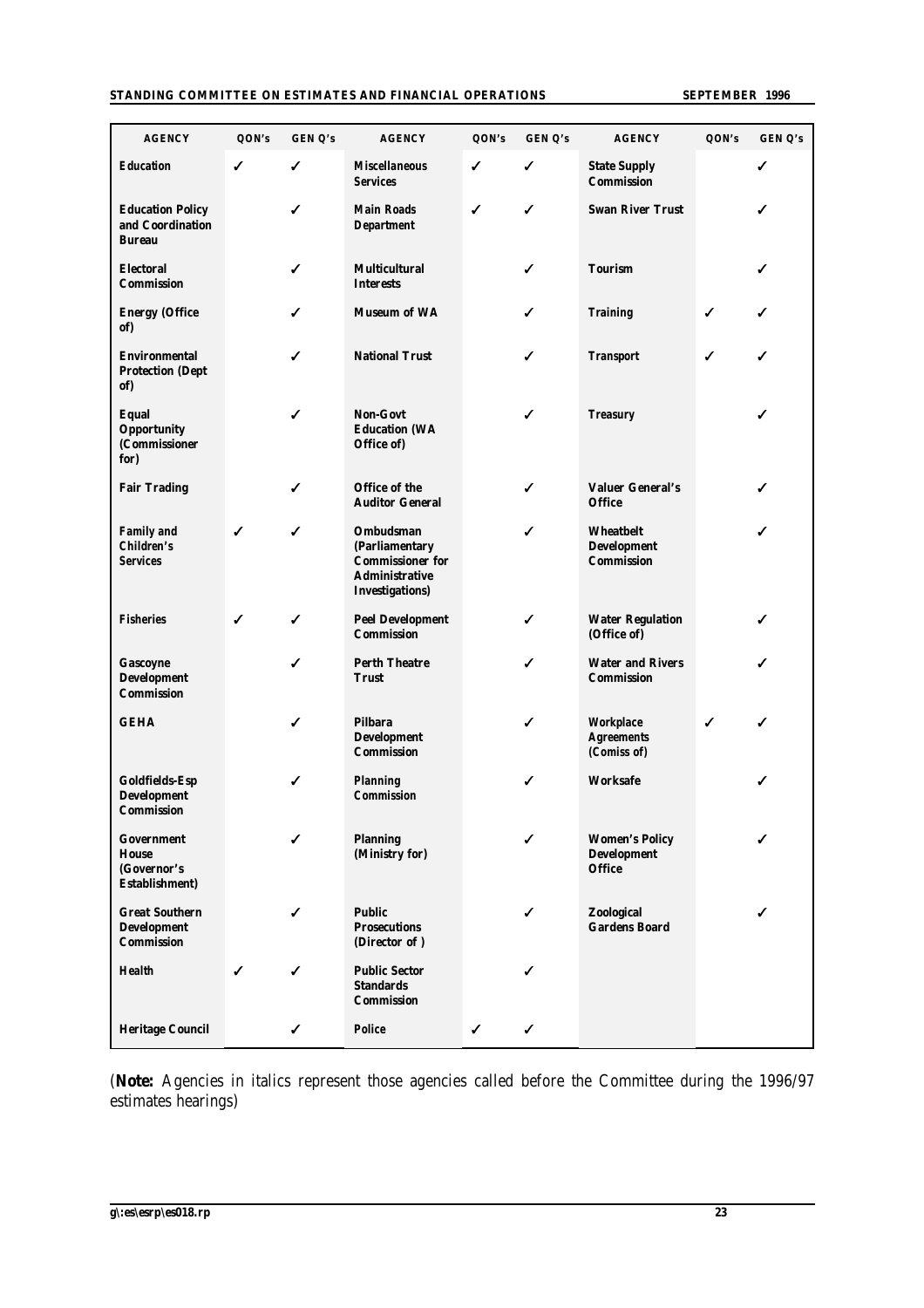#### **STANDING COMMITTEE ON ESTIMATES AND FINANCIAL OPERATIONS SEPTEMBER 1996**

| <b>AGENCY</b>                                                              | QON's | GEN Q's | <b>AGENCY</b>                                                                                                    | QON's | GEN Q's | <b>AGENCY</b>                                                | QON's | GEN Q's |
|----------------------------------------------------------------------------|-------|---------|------------------------------------------------------------------------------------------------------------------|-------|---------|--------------------------------------------------------------|-------|---------|
| <b>Education</b>                                                           | ✓     | ✓       | <b>Miscellaneous</b><br><b>Services</b>                                                                          | ✓     | ✓       | <b>State Supply</b><br><b>Commission</b>                     |       | ✓       |
| <b>Education Policy</b><br>and Coordination<br><b>Bureau</b>               |       | ✓       | <b>Main Roads</b><br><b>Department</b>                                                                           | ✓     | ✓       | <b>Swan River Trust</b>                                      |       | ✓       |
| <b>Electoral</b><br><b>Commission</b>                                      |       | ✓       | <b>Multicultural</b><br><b>Interests</b>                                                                         |       | ✓       | <b>Tourism</b>                                               |       | ✓       |
| <b>Energy (Office</b><br>of)                                               |       | ✓       | <b>Museum of WA</b>                                                                                              |       | ✓       | <b>Training</b>                                              | ✓     | ✓       |
| <b>Environmental</b><br><b>Protection (Dept</b><br>of)                     |       | ✓       | <b>National Trust</b>                                                                                            |       | ✓       | <b>Transport</b>                                             | ✓     | ✓       |
| <b>Equal</b><br><b>Opportunity</b><br>(Commissioner<br>for)                |       | ✓       | <b>Non-Govt</b><br><b>Education (WA</b><br>Office of)                                                            |       | ✓       | <b>Treasury</b>                                              |       | ✓       |
| <b>Fair Trading</b>                                                        |       | ✓       | Office of the<br><b>Auditor General</b>                                                                          |       | ✓       | <b>Valuer General's</b><br><b>Office</b>                     |       | ✓       |
| <b>Family and</b><br><b>Children's</b><br><b>Services</b>                  | ✓     | ✓       | <b>Ombudsman</b><br>(Parliamentary<br><b>Commissioner for</b><br><b>Administrative</b><br><b>Investigations)</b> |       | ✓       | <b>Wheatbelt</b><br><b>Development</b><br><b>Commission</b>  |       | ✓       |
| <b>Fisheries</b>                                                           | ✓     | ✓       | <b>Peel Development</b><br><b>Commission</b>                                                                     |       | ✓       | <b>Water Regulation</b><br>(Office of)                       |       | ✓       |
| Gascoyne<br><b>Development</b><br><b>Commission</b>                        |       | ✓       | <b>Perth Theatre</b><br><b>Trust</b>                                                                             |       | ✓       | <b>Water and Rivers</b><br><b>Commission</b>                 |       | ✓       |
| <b>GEHA</b>                                                                |       | ✔       | <b>Pilbara</b><br><b>Development</b><br><b>Commission</b>                                                        |       | ✓       | <b>Workplace</b><br><b>Agreements</b><br>(Comiss of)         | ✔     | ✓       |
| <b>Goldfields-Esp</b><br><b>Development</b><br><b>Commission</b>           |       | ✓       | <b>Planning</b><br><b>Commission</b>                                                                             |       | ✓       | <b>Worksafe</b>                                              |       | ✓       |
| <b>Government</b><br><b>House</b><br>(Governor's<br><b>Establishment</b> ) |       | ✓       | <b>Planning</b><br>(Ministry for)                                                                                |       | ✓       | <b>Women's Policy</b><br><b>Development</b><br><b>Office</b> |       | ✓       |
| <b>Great Southern</b><br><b>Development</b><br><b>Commission</b>           |       | ✓       | <b>Public</b><br><b>Prosecutions</b><br>(Director of)                                                            |       | ✓       | Zoological<br><b>Gardens Board</b>                           |       | ✓       |
| <b>Health</b>                                                              | ✓     | ✓       | <b>Public Sector</b><br><b>Standards</b><br><b>Commission</b>                                                    |       | ✓       |                                                              |       |         |
| <b>Heritage Council</b>                                                    |       | ✓       | <b>Police</b>                                                                                                    | ✓     | ✓       |                                                              |       |         |

(**Note:** Agencies in italics represent those agencies called before the Committee during the 1996/97 estimates hearings)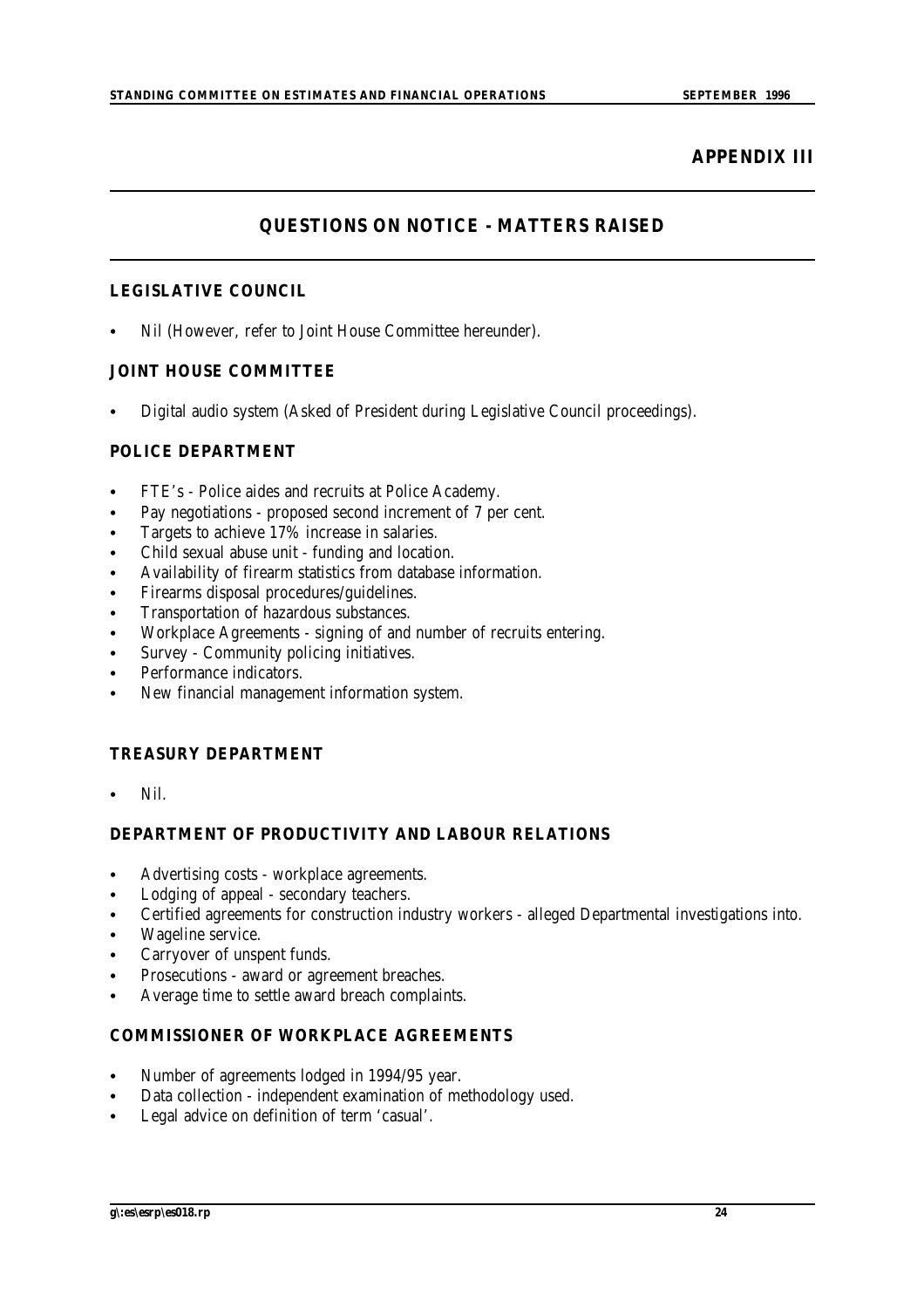## **APPENDIX III**

## **QUESTIONS ON NOTICE - MATTERS RAISED**

## **LEGISLATIVE COUNCIL**

Nil (However, refer to Joint House Committee hereunder).

## **JOINT HOUSE COMMITTEE**

Digital audio system (Asked of President during Legislative Council proceedings).

## **POLICE DEPARTMENT**

- FTE's Police aides and recruits at Police Academy.
- Pay negotiations proposed second increment of 7 per cent.
- Targets to achieve 17% increase in salaries.
- Child sexual abuse unit funding and location.
- Availability of firearm statistics from database information.
- Firearms disposal procedures/guidelines.
- Transportation of hazardous substances.
- Workplace Agreements signing of and number of recruits entering.
- Survey Community policing initiatives.
- Performance indicators.
- New financial management information system.

## **TREASURY DEPARTMENT**

Nil.

## **DEPARTMENT OF PRODUCTIVITY AND LABOUR RELATIONS**

- Advertising costs workplace agreements.
- Lodging of appeal secondary teachers.
- Certified agreements for construction industry workers alleged Departmental investigations into.
- Wageline service.
- Carryover of unspent funds.
- Prosecutions award or agreement breaches.
- Average time to settle award breach complaints.

## **COMMISSIONER OF WORKPLACE AGREEMENTS**

- Number of agreements lodged in 1994/95 year.
- Data collection independent examination of methodology used.
- Legal advice on definition of term 'casual'.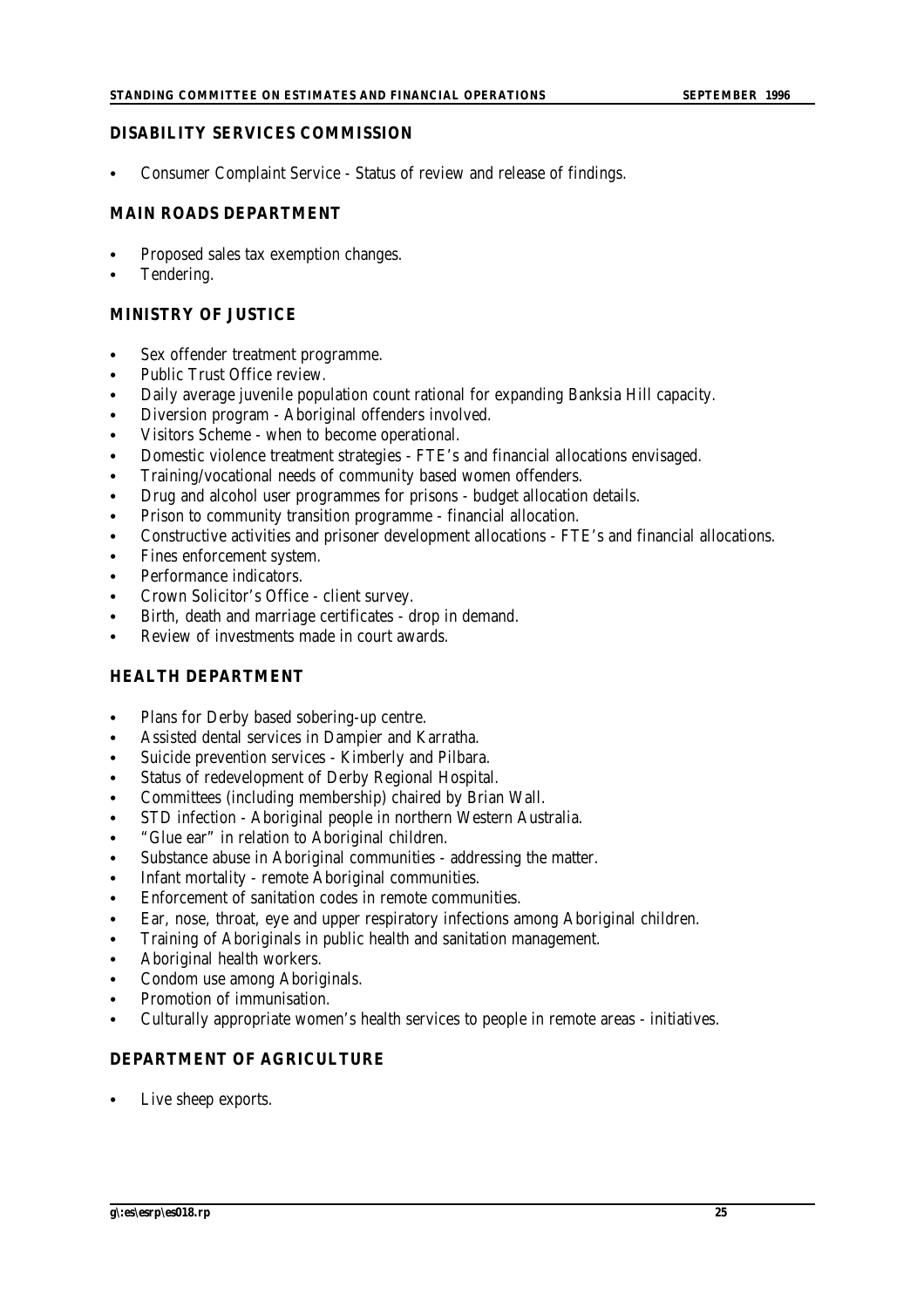#### **DISABILITY SERVICES COMMISSION**

Consumer Complaint Service - Status of review and release of findings.

#### **MAIN ROADS DEPARTMENT**

- Proposed sales tax exemption changes.
- Tendering.

#### **MINISTRY OF JUSTICE**

- Sex offender treatment programme.
- Public Trust Office review.
- Daily average juvenile population count rational for expanding Banksia Hill capacity.
- Diversion program Aboriginal offenders involved.
- Visitors Scheme when to become operational.
- Domestic violence treatment strategies FTE's and financial allocations envisaged.
- Training/vocational needs of community based women offenders.
- Drug and alcohol user programmes for prisons budget allocation details.
- Prison to community transition programme financial allocation.
- C Constructive activities and prisoner development allocations FTE's and financial allocations.
- Fines enforcement system.
- Performance indicators.
- Crown Solicitor's Office client survey.
- Birth, death and marriage certificates drop in demand.
- Review of investments made in court awards.

#### **HEALTH DEPARTMENT**

- Plans for Derby based sobering-up centre.
- Assisted dental services in Dampier and Karratha.
- Suicide prevention services Kimberly and Pilbara.
- Status of redevelopment of Derby Regional Hospital.
- Committees (including membership) chaired by Brian Wall.
- STD infection Aboriginal people in northern Western Australia.
- "Glue ear" in relation to Aboriginal children.
- Substance abuse in Aboriginal communities addressing the matter.
- Infant mortality remote Aboriginal communities.
- Enforcement of sanitation codes in remote communities.
- Ear, nose, throat, eye and upper respiratory infections among Aboriginal children.
- Training of Aboriginals in public health and sanitation management.
- Aboriginal health workers.
- Condom use among Aboriginals.
- Promotion of immunisation.
- Culturally appropriate women's health services to people in remote areas initiatives.

#### **DEPARTMENT OF AGRICULTURE**

Live sheep exports.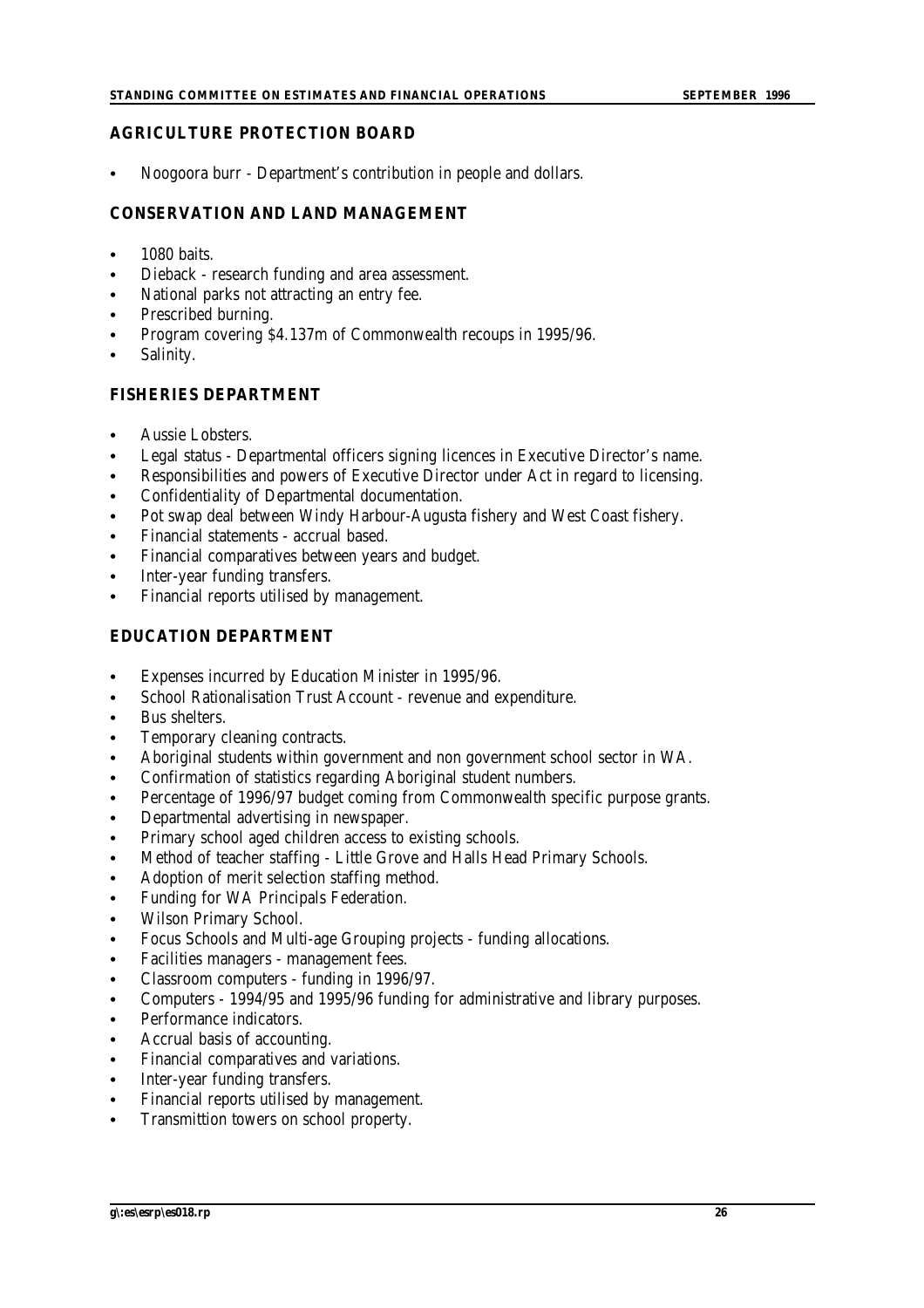## **AGRICULTURE PROTECTION BOARD**

Noogoora burr - Department's contribution in people and dollars.

## **CONSERVATION AND LAND MANAGEMENT**

- $\bullet$  1080 baits.
- Dieback research funding and area assessment.
- National parks not attracting an entry fee.
- Prescribed burning.
- C Program covering \$4.137m of Commonwealth recoups in 1995/96.
- Salinity.

## **FISHERIES DEPARTMENT**

- Aussie Lobsters.
- Legal status Departmental officers signing licences in Executive Director's name.
- Responsibilities and powers of Executive Director under Act in regard to licensing.
- Confidentiality of Departmental documentation.
- Pot swap deal between Windy Harbour-Augusta fishery and West Coast fishery.
- Financial statements accrual based.
- Financial comparatives between years and budget.
- Inter-year funding transfers.
- Financial reports utilised by management.

## **EDUCATION DEPARTMENT**

- Expenses incurred by Education Minister in 1995/96.
- School Rationalisation Trust Account revenue and expenditure.
- Bus shelters.
- Temporary cleaning contracts.
- Aboriginal students within government and non government school sector in WA.
- Confirmation of statistics regarding Aboriginal student numbers.
- Percentage of 1996/97 budget coming from Commonwealth specific purpose grants.
- Departmental advertising in newspaper.
- Primary school aged children access to existing schools.
- Method of teacher staffing Little Grove and Halls Head Primary Schools.
- Adoption of merit selection staffing method.
- Funding for WA Principals Federation.
- Wilson Primary School.
- Focus Schools and Multi-age Grouping projects funding allocations.
- Facilities managers management fees.
- Classroom computers funding in 1996/97.
- C Computers 1994/95 and 1995/96 funding for administrative and library purposes.
- Performance indicators.
- Accrual basis of accounting.
- Financial comparatives and variations.
- Inter-year funding transfers.
- Financial reports utilised by management.
- Transmittion towers on school property.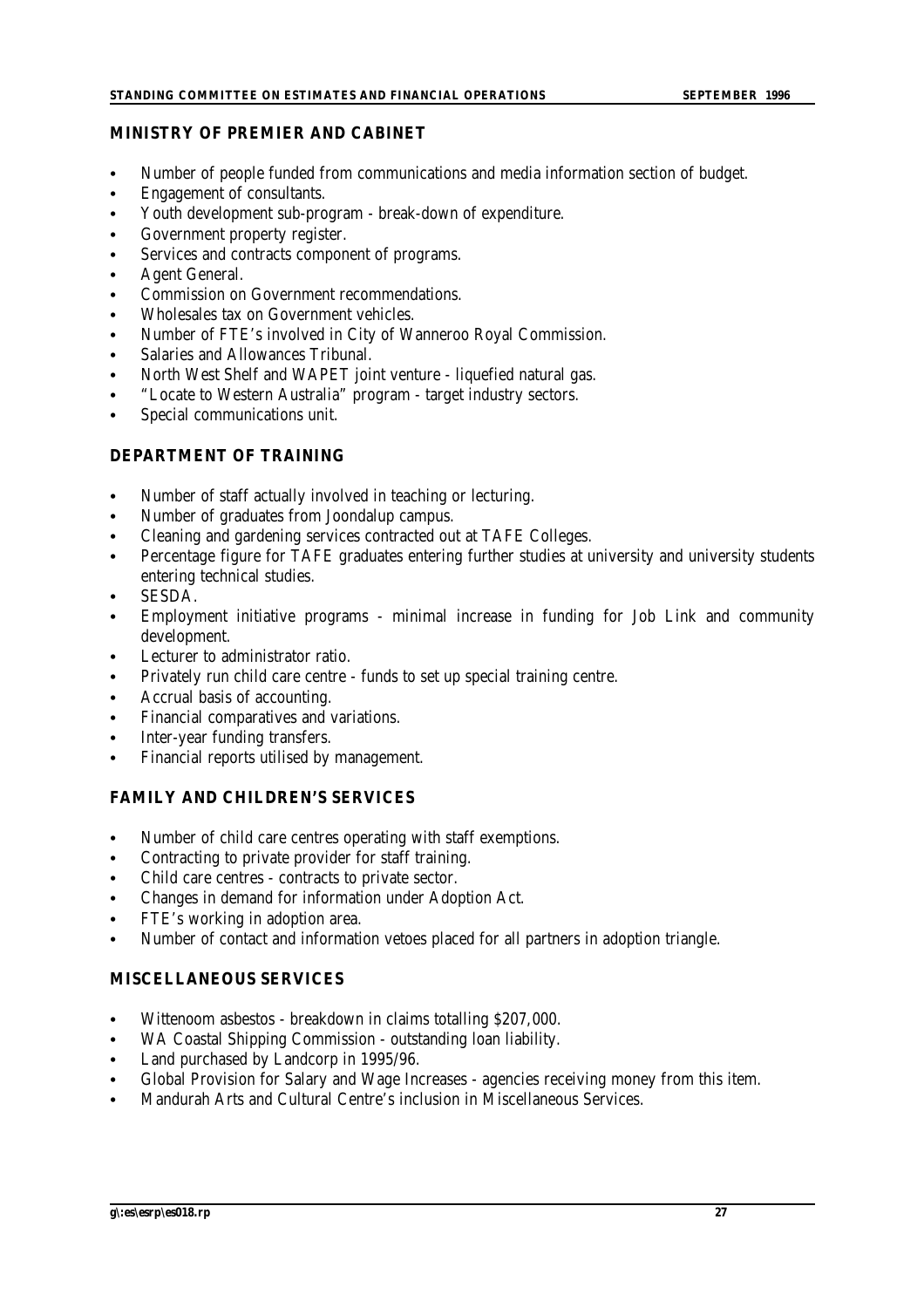#### **MINISTRY OF PREMIER AND CABINET**

- Number of people funded from communications and media information section of budget.
- Engagement of consultants.
- Youth development sub-program break-down of expenditure.
- Government property register.
- Services and contracts component of programs.
- Agent General.
- Commission on Government recommendations.
- Wholesales tax on Government vehicles.
- C Number of FTE's involved in City of Wanneroo Royal Commission.
- Salaries and Allowances Tribunal.
- North West Shelf and WAPET joint venture liquefied natural gas.
- "Locate to Western Australia" program target industry sectors.
- Special communications unit.

## **DEPARTMENT OF TRAINING**

- Number of staff actually involved in teaching or lecturing.
- Number of graduates from Joondalup campus.
- Cleaning and gardening services contracted out at TAFE Colleges.
- Percentage figure for TAFE graduates entering further studies at university and university students entering technical studies.
- SESDA.
- Employment initiative programs minimal increase in funding for Job Link and community development.
- Lecturer to administrator ratio.
- Privately run child care centre funds to set up special training centre.
- Accrual basis of accounting.
- Financial comparatives and variations.
- Inter-year funding transfers.
- Financial reports utilised by management.

## **FAMILY AND CHILDREN'S SERVICES**

- Number of child care centres operating with staff exemptions.
- Contracting to private provider for staff training.
- Child care centres contracts to private sector.
- Changes in demand for information under Adoption Act.
- FTE's working in adoption area.
- Number of contact and information vetoes placed for all partners in adoption triangle.

## **MISCELLANEOUS SERVICES**

- Wittenoom asbestos breakdown in claims totalling \$207,000.
- WA Coastal Shipping Commission outstanding loan liability.
- Land purchased by Landcorp in 1995/96.
- C Global Provision for Salary and Wage Increases agencies receiving money from this item.
- C Mandurah Arts and Cultural Centre's inclusion in Miscellaneous Services.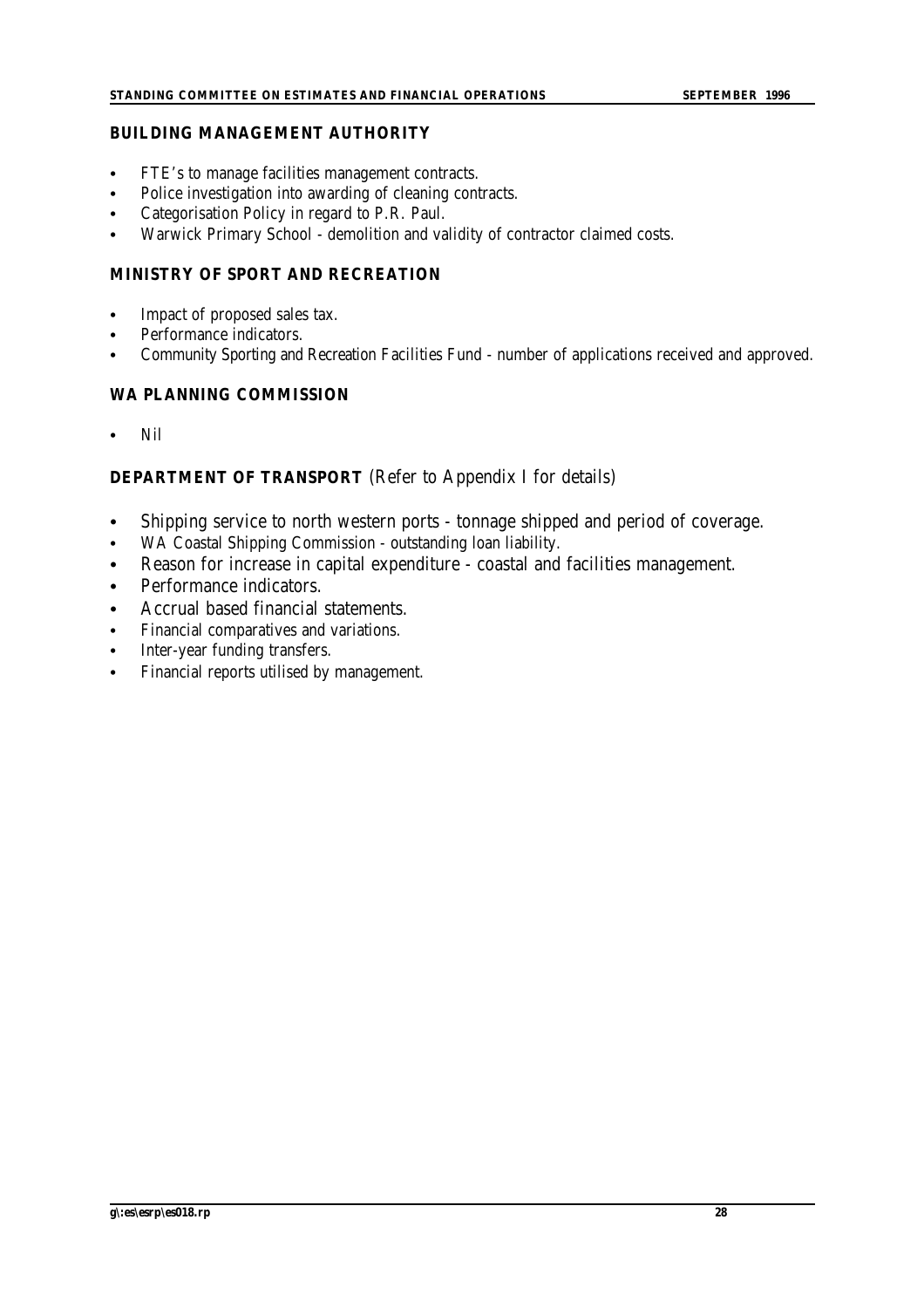## **BUILDING MANAGEMENT AUTHORITY**

- FTE's to manage facilities management contracts.
- Police investigation into awarding of cleaning contracts.
- Categorisation Policy in regard to P.R. Paul.
- Warwick Primary School demolition and validity of contractor claimed costs.

## **MINISTRY OF SPORT AND RECREATION**

- Impact of proposed sales tax.
- Performance indicators.
- Community Sporting and Recreation Facilities Fund number of applications received and approved.

## **WA PLANNING COMMISSION**

N<sub>il</sub>

## **DEPARTMENT OF TRANSPORT** (Refer to Appendix I for details)

- Shipping service to north western ports tonnage shipped and period of coverage.
- WA Coastal Shipping Commission outstanding loan liability.
- Reason for increase in capital expenditure coastal and facilities management.
- Performance indicators.
- Accrual based financial statements.
- Financial comparatives and variations.
- Inter-year funding transfers.
- Financial reports utilised by management.